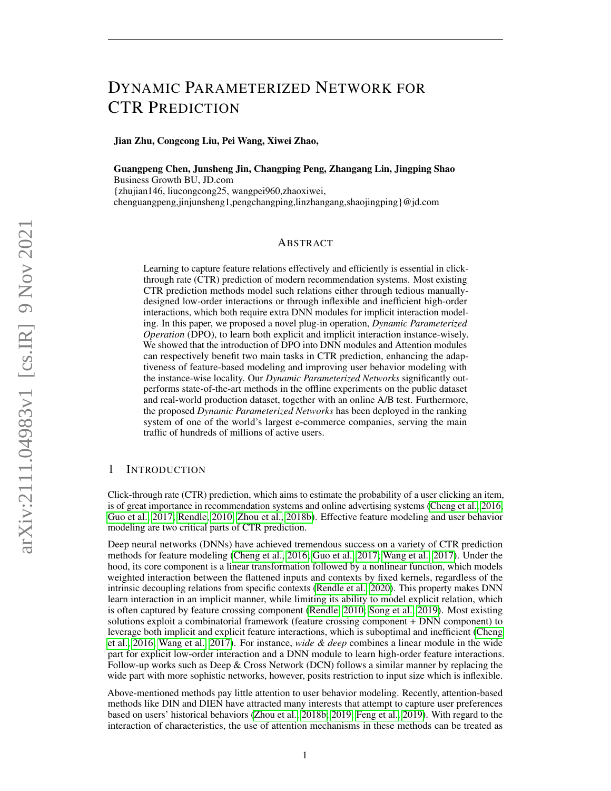# <span id="page-0-0"></span>DYNAMIC PARAMETERIZED NETWORK FOR CTR PREDICTION

Jian Zhu, Congcong Liu, Pei Wang, Xiwei Zhao,

Guangpeng Chen, Junsheng Jin, Changping Peng, Zhangang Lin, Jingping Shao Business Growth BU, JD.com {zhujian146, liucongcong25, wangpei960,zhaoxiwei, chenguangpeng,jinjunsheng1,pengchangping,linzhangang,shaojingping}@jd.com

# ABSTRACT

Learning to capture feature relations effectively and efficiently is essential in clickthrough rate (CTR) prediction of modern recommendation systems. Most existing CTR prediction methods model such relations either through tedious manuallydesigned low-order interactions or through inflexible and inefficient high-order interactions, which both require extra DNN modules for implicit interaction modeling. In this paper, we proposed a novel plug-in operation, *Dynamic Parameterized Operation* (DPO), to learn both explicit and implicit interaction instance-wisely. We showed that the introduction of DPO into DNN modules and Attention modules can respectively benefit two main tasks in CTR prediction, enhancing the adaptiveness of feature-based modeling and improving user behavior modeling with the instance-wise locality. Our *Dynamic Parameterized Networks* significantly outperforms state-of-the-art methods in the offline experiments on the public dataset and real-world production dataset, together with an online A/B test. Furthermore, the proposed *Dynamic Parameterized Networks* has been deployed in the ranking system of one of the world's largest e-commerce companies, serving the main traffic of hundreds of millions of active users.

# 1 INTRODUCTION

Click-through rate (CTR) prediction, which aims to estimate the probability of a user clicking an item, is of great importance in recommendation systems and online advertising systems [\(Cheng et al., 2016;](#page-9-0) [Guo et al., 2017;](#page-9-1) [Rendle, 2010;](#page-10-0) [Zhou et al., 2018b\)](#page-11-0). Effective feature modeling and user behavior modeling are two critical parts of CTR prediction.

Deep neural networks (DNNs) have achieved tremendous success on a variety of CTR prediction methods for feature modeling [\(Cheng et al., 2016;](#page-9-0) [Guo et al., 2017;](#page-9-1) [Wang et al., 2017\)](#page-10-1). Under the hood, its core component is a linear transformation followed by a nonlinear function, which models weighted interaction between the flattened inputs and contexts by fixed kernels, regardless of the intrinsic decoupling relations from specific contexts [\(Rendle et al., 2020\)](#page-10-2). This property makes DNN learn interaction in an implicit manner, while limiting its ability to model explicit relation, which is often captured by feature crossing component [\(Rendle, 2010;](#page-10-0) [Song et al., 2019\)](#page-10-3). Most existing solutions exploit a combinatorial framework (feature crossing component + DNN component) to leverage both implicit and explicit feature interactions, which is suboptimal and inefficient [\(Cheng](#page-9-0) [et al., 2016;](#page-9-0) [Wang et al., 2017\)](#page-10-1). For instance, *wide & deep* combines a linear module in the wide part for explicit low-order interaction and a DNN module to learn high-order feature interactions. Follow-up works such as Deep  $& Cross Network (DCN)$  follows a similar manner by replacing the wide part with more sophistic networks, however, posits restriction to input size which is inflexible.

Above-mentioned methods pay little attention to user behavior modeling. Recently, attention-based methods like DIN and DIEN have attracted many interests that attempt to capture user preferences based on users' historical behaviors [\(Zhou et al., 2018b;](#page-11-0) [2019;](#page-11-1) [Feng et al., 2019\)](#page-9-2). With regard to the interaction of characteristics, the use of attention mechanisms in these methods can be treated as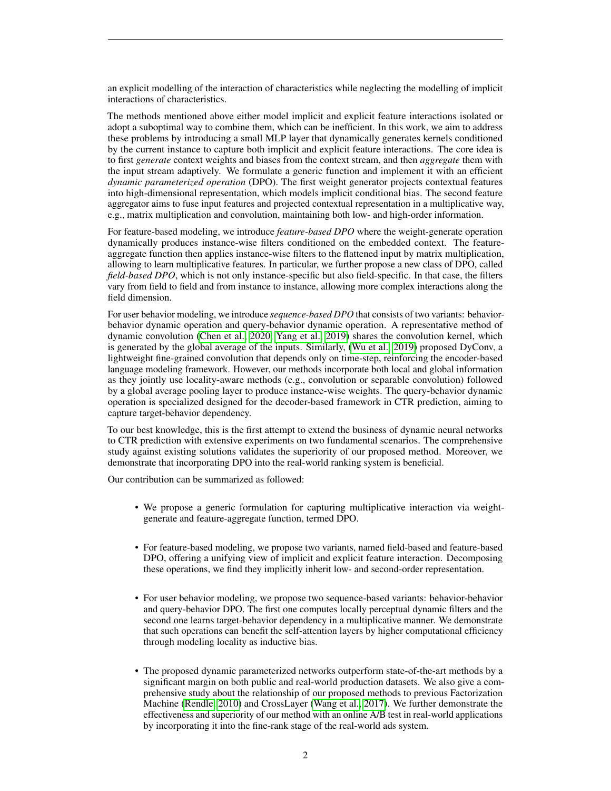an explicit modelling of the interaction of characteristics while neglecting the modelling of implicit interactions of characteristics.

The methods mentioned above either model implicit and explicit feature interactions isolated or adopt a suboptimal way to combine them, which can be inefficient. In this work, we aim to address these problems by introducing a small MLP layer that dynamically generates kernels conditioned by the current instance to capture both implicit and explicit feature interactions. The core idea is to first *generate* context weights and biases from the context stream, and then *aggregate* them with the input stream adaptively. We formulate a generic function and implement it with an efficient *dynamic parameterized operation* (DPO). The first weight generator projects contextual features into high-dimensional representation, which models implicit conditional bias. The second feature aggregator aims to fuse input features and projected contextual representation in a multiplicative way, e.g., matrix multiplication and convolution, maintaining both low- and high-order information.

For feature-based modeling, we introduce *feature-based DPO* where the weight-generate operation dynamically produces instance-wise filters conditioned on the embedded context. The featureaggregate function then applies instance-wise filters to the flattened input by matrix multiplication, allowing to learn multiplicative features. In particular, we further propose a new class of DPO, called *field-based DPO*, which is not only instance-specific but also field-specific. In that case, the filters vary from field to field and from instance to instance, allowing more complex interactions along the field dimension.

For user behavior modeling, we introduce *sequence-based DPO* that consists of two variants: behaviorbehavior dynamic operation and query-behavior dynamic operation. A representative method of dynamic convolution [\(Chen et al., 2020;](#page-9-3) [Yang et al., 2019\)](#page-11-2) shares the convolution kernel, which is generated by the global average of the inputs. Similarly, [\(Wu et al., 2019\)](#page-11-3) proposed DyConv, a lightweight fine-grained convolution that depends only on time-step, reinforcing the encoder-based language modeling framework. However, our methods incorporate both local and global information as they jointly use locality-aware methods (e.g., convolution or separable convolution) followed by a global average pooling layer to produce instance-wise weights. The query-behavior dynamic operation is specialized designed for the decoder-based framework in CTR prediction, aiming to capture target-behavior dependency.

To our best knowledge, this is the first attempt to extend the business of dynamic neural networks to CTR prediction with extensive experiments on two fundamental scenarios. The comprehensive study against existing solutions validates the superiority of our proposed method. Moreover, we demonstrate that incorporating DPO into the real-world ranking system is beneficial.

Our contribution can be summarized as followed:

- We propose a generic formulation for capturing multiplicative interaction via weightgenerate and feature-aggregate function, termed DPO.
- For feature-based modeling, we propose two variants, named field-based and feature-based DPO, offering a unifying view of implicit and explicit feature interaction. Decomposing these operations, we find they implicitly inherit low- and second-order representation.
- For user behavior modeling, we propose two sequence-based variants: behavior-behavior and query-behavior DPO. The first one computes locally perceptual dynamic filters and the second one learns target-behavior dependency in a multiplicative manner. We demonstrate that such operations can benefit the self-attention layers by higher computational efficiency through modeling locality as inductive bias.
- The proposed dynamic parameterized networks outperform state-of-the-art methods by a significant margin on both public and real-world production datasets. We also give a comprehensive study about the relationship of our proposed methods to previous Factorization Machine [\(Rendle, 2010\)](#page-10-0) and CrossLayer [\(Wang et al., 2017\)](#page-10-1). We further demonstrate the effectiveness and superiority of our method with an online A/B test in real-world applications by incorporating it into the fine-rank stage of the real-world ads system.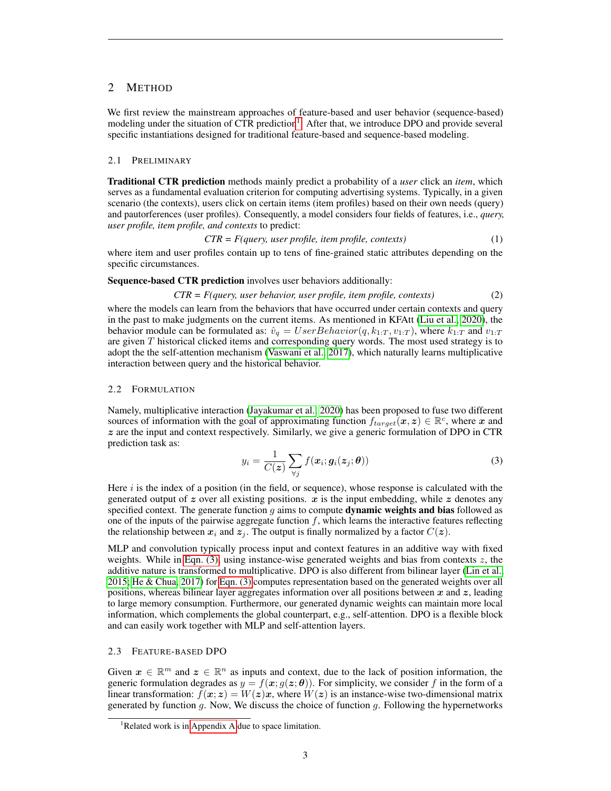# 2 METHOD

We first review the mainstream approaches of feature-based and user behavior (sequence-based) modeling under the situation of CTR prediction<sup>[1](#page-0-0)</sup>. After that, we introduce DPO and provide several specific instantiations designed for traditional feature-based and sequence-based modeling.

#### 2.1 PRELIMINARY

Traditional CTR prediction methods mainly predict a probability of a *user* click an *item*, which serves as a fundamental evaluation criterion for computing advertising systems. Typically, in a given scenario (the contexts), users click on certain items (item profiles) based on their own needs (query) and pautorferences (user profiles). Consequently, a model considers four fields of features, i.e., *query, user profile, item profile, and contexts* to predict:

$$
CTR = F(query, user profile, item profile, contexts)
$$
\n(1)

where item and user profiles contain up to tens of fine-grained static attributes depending on the specific circumstances.

Sequence-based CTR prediction involves user behaviors additionally:

$$
CTR = F(query, user behavior, user profile, item profile, contexts)
$$
\n
$$
(2)
$$

where the models can learn from the behaviors that have occurred under certain contexts and query in the past to make judgments on the current items. As mentioned in KFAtt [\(Liu et al., 2020\)](#page-10-4), the behavior module can be formulated as:  $\hat{v}_q = UserBehavior(q, k_{1:T}, v_{1:T})$ , where  $k_{1:T}$  and  $v_{1:T}$ are given  $T$  historical clicked items and corresponding query words. The most used strategy is to adopt the the self-attention mechanism [\(Vaswani et al., 2017\)](#page-10-5), which naturally learns multiplicative interaction between query and the historical behavior.

### 2.2 FORMULATION

Namely, multiplicative interaction [\(Jayakumar et al., 2020\)](#page-9-4) has been proposed to fuse two different sources of information with the goal of approximating function  $f_{target}(x, z) \in \mathbb{R}^c$ , where x and  $z$  are the input and context respectively. Similarly, we give a generic formulation of DPO in CTR prediction task as:

<span id="page-2-0"></span>
$$
y_i = \frac{1}{C(\boldsymbol{z})} \sum_{\forall j} f(\boldsymbol{x}_i; \boldsymbol{g}_i(\boldsymbol{z}_j; \boldsymbol{\theta})) \tag{3}
$$

Here  $i$  is the index of a position (in the field, or sequence), whose response is calculated with the generated output of  $z$  over all existing positions.  $x$  is the input embedding, while  $z$  denotes any specified context. The generate function  $g$  aims to compute **dynamic weights and bias** followed as one of the inputs of the pairwise aggregate function  $f$ , which learns the interactive features reflecting the relationship between  $x_i$  and  $z_j$ . The output is finally normalized by a factor  $C(z)$ .

MLP and convolution typically process input and context features in an additive way with fixed weights. While in [Eqn. \(3\),](#page-2-0) using instance-wise generated weights and bias from contexts z, the additive nature is transformed to multiplicative. DPO is also different from bilinear layer [\(Lin et al.,](#page-10-6) [2015;](#page-10-6) [He & Chua, 2017\)](#page-9-5) for [Eqn. \(3\)](#page-2-0) computes representation based on the generated weights over all positions, whereas bilinear layer aggregates information over all positions between  $x$  and  $z$ , leading to large memory consumption. Furthermore, our generated dynamic weights can maintain more local information, which complements the global counterpart, e.g., self-attention. DPO is a flexible block and can easily work together with MLP and self-attention layers.

## <span id="page-2-1"></span>2.3 FEATURE-BASED DPO

Given  $x \in \mathbb{R}^m$  and  $z \in \mathbb{R}^n$  as inputs and context, due to the lack of position information, the generic formulation degrades as  $y = f(x; g(z; \theta))$ . For simplicity, we consider f in the form of a linear transformation:  $f(x; z) = W(z)x$ , where  $W(z)$  is an instance-wise two-dimensional matrix generated by function  $g$ . Now, We discuss the choice of function  $g$ . Following the hypernetworks

<sup>&</sup>lt;sup>1</sup>Related work is in [Appendix A](#page-12-0) due to space limitation.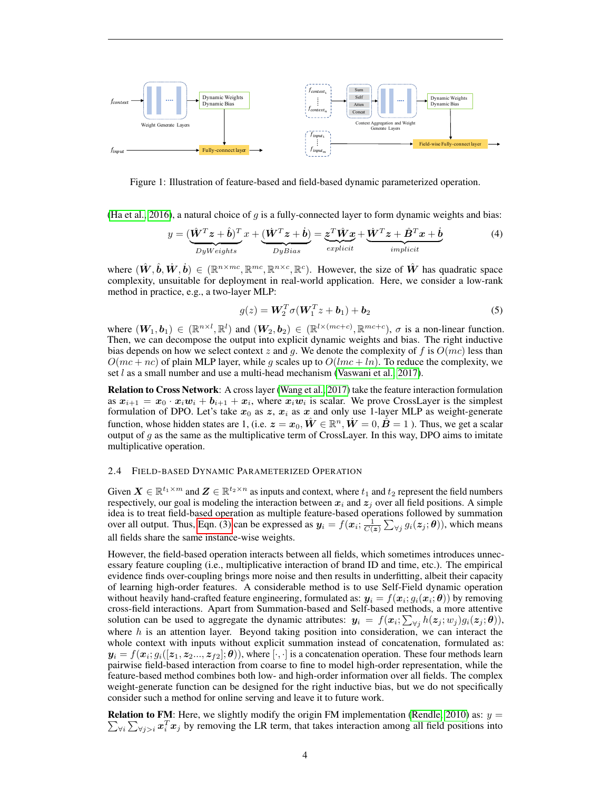

Figure 1: Illustration of feature-based and field-based dynamic parameterized operation.

[\(Ha et al., 2016\)](#page-9-6), a natural choice of  $g$  is a fully-connected layer to form dynamic weights and bias:

$$
y = \underbrace{(\hat{\mathbf{W}}^T \mathbf{z} + \hat{\mathbf{b}})^T}_{DyWeights} x + \underbrace{(\dot{\mathbf{W}}^T \mathbf{z} + \dot{\mathbf{b}})}_{DyBias} = \underbrace{\mathbf{z}^T \hat{\mathbf{W}} \mathbf{x}}_{explicit} + \underbrace{\dot{\mathbf{W}}^T \mathbf{z} + \hat{\mathbf{B}}^T \mathbf{x} + \dot{\mathbf{b}}}{implicit}
$$
(4)

where  $(\hat{W}, \hat{b}, \dot{W}, \dot{b}) \in (\mathbb{R}^{n \times mc}, \mathbb{R}^{mc}, \mathbb{R}^{n \times c}, \mathbb{R}^c)$ . However, the size of  $\hat{W}$  has quadratic space complexity, unsuitable for deployment in real-world application. Here, we consider a low-rank method in practice, e.g., a two-layer MLP:

<span id="page-3-1"></span>
$$
g(z) = \mathbf{W}_2^T \sigma(\mathbf{W}_1^T z + \boldsymbol{b}_1) + \boldsymbol{b}_2 \tag{5}
$$

where  $(W_1, b_1) \in (\mathbb{R}^{n \times l}, \mathbb{R}^l)$  and  $(W_2, b_2) \in (\mathbb{R}^{l \times (mc+c)}, \mathbb{R}^{mc+c})$ ,  $\sigma$  is a non-linear function. Then, we can decompose the output into explicit dynamic weights and bias. The right inductive bias depends on how we select context z and g. We denote the complexity of f is  $O(mc)$  less than  $O(mc + nc)$  of plain MLP layer, while g scales up to  $O(lmc + ln)$ . To reduce the complexity, we set *l* as a small number and use a multi-head mechanism [\(Vaswani et al., 2017\)](#page-10-5).

Relation to Cross Network: A cross layer [\(Wang et al., 2017\)](#page-10-1) take the feature interaction formulation as  $x_{i+1} = x_0 \cdot x_i w_i + b_{i+1} + x_i$ , where  $x_i w_i$  is scalar. We prove CrossLayer is the simplest formulation of DPO. Let's take  $x_0$  as z,  $x_i$  as x and only use 1-layer MLP as weight-generate function, whose hidden states are 1, (i.e.  $\bm{z} = \bm{x}_0, \hat{\bm{W}} \in \mathbb{R}^n, \dot{\bm{W}} = 0, \dot{\hat{\bm{B}}} = 1$  ). Thus, we get a scalar output of  $g$  as the same as the multiplicative term of CrossLayer. In this way, DPO aims to imitate multiplicative operation.

## <span id="page-3-0"></span>2.4 FIELD-BASED DYNAMIC PARAMETERIZED OPERATION

Given  $\mathbf{X} \in \mathbb{R}^{t_1 \times m}$  and  $\mathbf{Z} \in \mathbb{R}^{t_2 \times n}$  as inputs and context, where  $t_1$  and  $t_2$  represent the field numbers respectively, our goal is modeling the interaction between  $x_i$  and  $z_j$  over all field positions. A simple idea is to treat field-based operation as multiple feature-based operations followed by summation over all output. Thus, [Eqn. \(3\)](#page-2-0) can be expressed as  $y_i = f(x_i; \frac{1}{C(z)} \sum_{\forall j} g_i(z_j; \theta)$ , which means all fields share the same instance-wise weights.

However, the field-based operation interacts between all fields, which sometimes introduces unnecessary feature coupling (i.e., multiplicative interaction of brand ID and time, etc.). The empirical evidence finds over-coupling brings more noise and then results in underfitting, albeit their capacity of learning high-order features. A considerable method is to use Self-Field dynamic operation without heavily hand-crafted feature engineering, formulated as:  $y_i = f(x_i; g_i(x_i; \theta))$  by removing cross-field interactions. Apart from Summation-based and Self-based methods, a more attentive solution can be used to aggregate the dynamic attributes:  $y_i = f(x_i; \sum_{\forall j} h(z_j; w_j) g_i(z_j; \theta)),$ where  $h$  is an attention layer. Beyond taking position into consideration, we can interact the whole context with inputs without explicit summation instead of concatenation, formulated as:  $y_i = f(x_i; g_i([z_1, z_2..., z_{f2}]; \theta)),$  where  $[\cdot,\cdot]$  is a concatenation operation. These four methods learn pairwise field-based interaction from coarse to fine to model high-order representation, while the feature-based method combines both low- and high-order information over all fields. The complex weight-generate function can be designed for the right inductive bias, but we do not specifically consider such a method for online serving and leave it to future work.

 $\sum_{\forall i}\sum_{\forall j>i}x_i^T x_j$  by removing the LR term, that takes interaction among all field positions into **Relation to FM**: Here, we slightly modify the origin FM implementation [\(Rendle, 2010\)](#page-10-0) as:  $y =$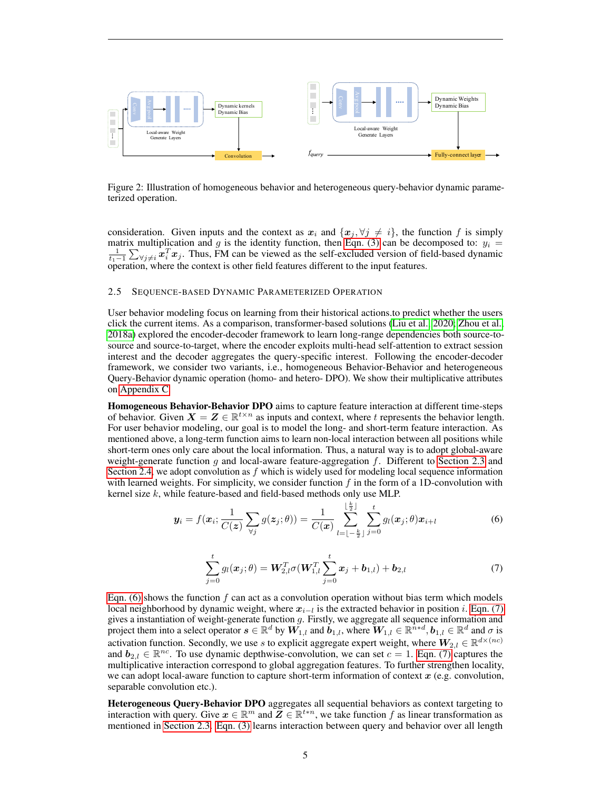

Figure 2: Illustration of homogeneous behavior and heterogeneous query-behavior dynamic parameterized operation.

consideration. Given inputs and the context as  $x_i$  and  $\{x_j, \forall j \neq i\}$ , the function f is simply matrix multiplication and g is the identity function, then [Eqn. \(3\)](#page-2-0) can be decomposed to:  $y_i = \frac{1}{t_1-1} \sum_{\forall j \neq i} x_i^T x_j$ . Thus, FM can be viewed as the self-excluded version of field-based dynamic operation, where the context is other field features different to the input features.

#### 2.5 SEQUENCE-BASED DYNAMIC PARAMETERIZED OPERATION

User behavior modeling focus on learning from their historical actions.to predict whether the users click the current items. As a comparison, transformer-based solutions [\(Liu et al., 2020;](#page-10-4) [Zhou et al.,](#page-11-4) [2018a\)](#page-11-4) explored the encoder-decoder framework to learn long-range dependencies both source-tosource and source-to-target, where the encoder exploits multi-head self-attention to extract session interest and the decoder aggregates the query-specific interest. Following the encoder-decoder framework, we consider two variants, i.e., homogeneous Behavior-Behavior and heterogeneous Query-Behavior dynamic operation (homo- and hetero- DPO). We show their multiplicative attributes on [Appendix C.](#page-15-0)

Homogeneous Behavior-Behavior DPO aims to capture feature interaction at different time-steps of behavior. Given  $X = Z \in \mathbb{R}^{t \times n}$  as inputs and context, where t represents the behavior length. For user behavior modeling, our goal is to model the long- and short-term feature interaction. As mentioned above, a long-term function aims to learn non-local interaction between all positions while short-term ones only care about the local information. Thus, a natural way is to adopt global-aware weight-generate function  $g$  and local-aware feature-aggregation  $f$ . Different to [Section 2.3](#page-2-1) and [Section 2.4,](#page-3-0) we adopt convolution as  $f$  which is widely used for modeling local sequence information with learned weights. For simplicity, we consider function  $f$  in the form of a 1D-convolution with kernel size  $k$ , while feature-based and field-based methods only use MLP.

<span id="page-4-0"></span>
$$
\boldsymbol{y}_i = f(\boldsymbol{x}_i; \frac{1}{C(\boldsymbol{z})} \sum_{\forall j} g(\boldsymbol{z}_j; \theta)) = \frac{1}{C(\boldsymbol{x})} \sum_{l=\lfloor -\frac{k}{2} \rfloor}^{\lfloor \frac{k}{2} \rfloor} \sum_{j=0}^t g_l(\boldsymbol{x}_j; \theta) \boldsymbol{x}_{i+l}
$$
(6)

<span id="page-4-1"></span>
$$
\sum_{j=0}^{t} g_l(\boldsymbol{x}_j; \theta) = \boldsymbol{W}_{2,l}^T \sigma(\boldsymbol{W}_{1,l}^T \sum_{j=0}^{t} \boldsymbol{x}_j + \boldsymbol{b}_{1,l}) + \boldsymbol{b}_{2,l}
$$
(7)

[Eqn. \(6\)](#page-4-0) shows the function f can act as a convolution operation without bias term which models local neighborhood by dynamic weight, where  $x_{i-l}$  is the extracted behavior in position *i*. [Eqn. \(7\)](#page-4-1) gives a instantiation of weight-generate function g. Firstly, we aggregate all sequence information and project them into a select operator  $s \in \mathbb{R}^d$  by  $\tilde{W_{1,l}}$  and  $\tilde{b}_{1,l}$ , where  $W_{1,l} \in \mathbb{R}^{\tilde{n}*d}$ ,  $b_{1,l} \in \mathbb{R}^d$  and  $\sigma$  is activation function. Secondly, we use s to explicit aggregate expert weight, where  $W_{2,l} \in \mathbb{R}^{d \times (nc)}$ and  $b_{2,l} \in \mathbb{R}^{nc}$ . To use dynamic depthwise-convolution, we can set  $c = 1$ . [Eqn. \(7\)](#page-4-1) captures the multiplicative interaction correspond to global aggregation features. To further strengthen locality, we can adopt local-aware function to capture short-term information of context  $x$  (e.g. convolution, separable convolution etc.).

Heterogeneous Query-Behavior DPO aggregates all sequential behaviors as context targeting to interaction with query. Give  $x \in \mathbb{R}^m$  and  $\widetilde{Z} \in \mathbb{R}^{t+n}$ , we take function f as linear transformation as mentioned in [Section 2.3.](#page-2-1) [Eqn. \(3\)](#page-2-0) learns interaction between query and behavior over all length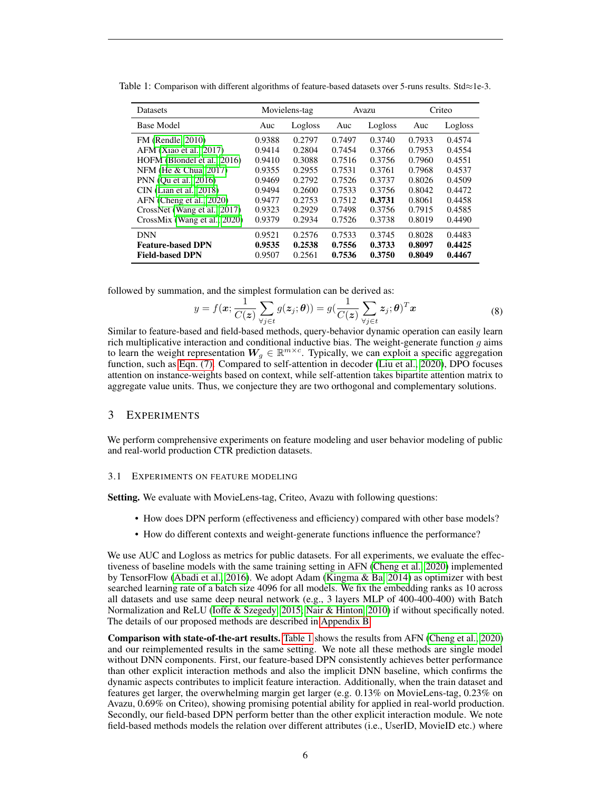| <b>Datasets</b>              |        | Movielens-tag<br>Avazu |        |         | Criteo |         |
|------------------------------|--------|------------------------|--------|---------|--------|---------|
| <b>Base Model</b>            | Auc    | Logloss                | Auc    | Logloss | Auc    | Logloss |
| FM (Rendle, 2010)            | 0.9388 | 0.2797                 | 0.7497 | 0.3740  | 0.7933 | 0.4574  |
| AFM (Xiao et al., 2017)      | 0.9414 | 0.2804                 | 0.7454 | 0.3766  | 0.7953 | 0.4554  |
| HOFM (Blondel et al., 2016)  | 0.9410 | 0.3088                 | 0.7516 | 0.3756  | 0.7960 | 0.4551  |
| NFM (He & Chua, 2017)        | 0.9355 | 0.2955                 | 0.7531 | 0.3761  | 0.7968 | 0.4537  |
| PNN (Ou et al., 2016)        | 0.9469 | 0.2792                 | 0.7526 | 0.3737  | 0.8026 | 0.4509  |
| $CIN$ (Lian et al., 2018)    | 0.9494 | 0.2600                 | 0.7533 | 0.3756  | 0.8042 | 0.4472  |
| AFN (Cheng et al., 2020)     | 0.9477 | 0.2753                 | 0.7512 | 0.3731  | 0.8061 | 0.4458  |
| CrossNet (Wang et al., 2017) | 0.9323 | 0.2929                 | 0.7498 | 0.3756  | 0.7915 | 0.4585  |
| CrossMix (Wang et al., 2020) | 0.9379 | 0.2934                 | 0.7526 | 0.3738  | 0.8019 | 0.4490  |
| <b>DNN</b>                   | 0.9521 | 0.2576                 | 0.7533 | 0.3745  | 0.8028 | 0.4483  |
| <b>Feature-based DPN</b>     | 0.9535 | 0.2538                 | 0.7556 | 0.3733  | 0.8097 | 0.4425  |
| <b>Field-based DPN</b>       | 0.9507 | 0.2561                 | 0.7536 | 0.3750  | 0.8049 | 0.4467  |

<span id="page-5-0"></span>Table 1: Comparison with different algorithms of feature-based datasets over 5-runs results. Std≈1e-3.

followed by summation, and the simplest formulation can be derived as:

<span id="page-5-2"></span>
$$
y = f(\mathbf{x}; \frac{1}{C(\mathbf{z})} \sum_{\forall j \in t} g(z_j; \boldsymbol{\theta})) = g(\frac{1}{C(\mathbf{z})} \sum_{\forall j \in t} z_j; \boldsymbol{\theta})^T \mathbf{x}
$$
(8)

Similar to feature-based and field-based methods, query-behavior dynamic operation can easily learn rich multiplicative interaction and conditional inductive bias. The weight-generate function  $q$  aims to learn the weight representation  $W_g \in \mathbb{R}^{m \times c}$ . Typically, we can exploit a specific aggregation function, such as [Eqn. \(7\).](#page-4-1) Compared to self-attention in decoder [\(Liu et al., 2020\)](#page-10-4), DPO focuses attention on instance-weights based on context, while self-attention takes bipartite attention matrix to aggregate value units. Thus, we conjecture they are two orthogonal and complementary solutions.

# 3 EXPERIMENTS

We perform comprehensive experiments on feature modeling and user behavior modeling of public and real-world production CTR prediction datasets.

### <span id="page-5-1"></span>3.1 EXPERIMENTS ON FEATURE MODELING

Setting. We evaluate with MovieLens-tag, Criteo, Avazu with following questions:

- How does DPN perform (effectiveness and efficiency) compared with other base models?
- How do different contexts and weight-generate functions influence the performance?

We use AUC and Logloss as metrics for public datasets. For all experiments, we evaluate the effectiveness of baseline models with the same training setting in AFN [\(Cheng et al., 2020\)](#page-9-8) implemented by TensorFlow [\(Abadi et al., 2016\)](#page-9-9). We adopt Adam [\(Kingma & Ba, 2014\)](#page-9-10) as optimizer with best searched learning rate of a batch size 4096 for all models. We fix the embedding ranks as 10 across all datasets and use same deep neural network (e.g., 3 layers MLP of 400-400-400) with Batch Normalization and ReLU [\(Ioffe & Szegedy, 2015;](#page-9-11) [Nair & Hinton, 2010\)](#page-10-9) if without specifically noted. The details of our proposed methods are described in [Appendix B.](#page-13-0)

Comparison with state-of-the-art results. [Table 1](#page-5-0) shows the results from AFN [\(Cheng et al., 2020\)](#page-9-8) and our reimplemented results in the same setting. We note all these methods are single model without DNN components. First, our feature-based DPN consistently achieves better performance than other explicit interaction methods and also the implicit DNN baseline, which confirms the dynamic aspects contributes to implicit feature interaction. Additionally, when the train dataset and features get larger, the overwhelming margin get larger (e.g. 0.13% on MovieLens-tag, 0.23% on Avazu, 0.69% on Criteo), showing promising potential ability for applied in real-world production. Secondly, our field-based DPN perform better than the other explicit interaction module. We note field-based methods models the relation over different attributes (i.e., UserID, MovieID etc.) where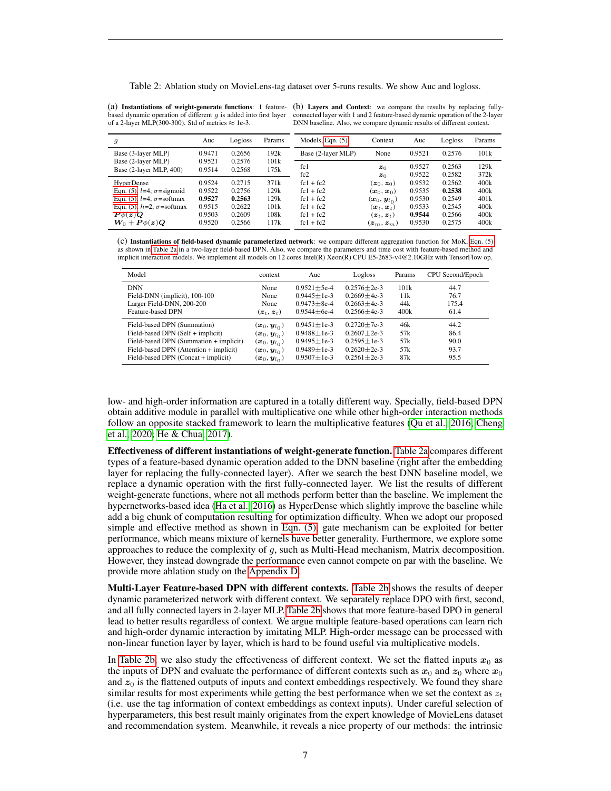<span id="page-6-0"></span>Table 2: Ablation study on MovieLens-tag dataset over 5-runs results. We show Auc and logloss.

based dynamic operation of different  $g$  is added into first layer of a 2-layer MLP(300-300). Std of metrics  $\approx$  1e-3.

(a) Instantiations of weight-generate functions: 1 feature-(b) Layers and Context: we compare the results by replacing fullyconnected layer with 1 and 2 feature-based dynamic operation of the 2-layer DNN baseline. Also, we compare dynamic results of different context.

| 9                                             | Auc              | Logloss          | Params       | Models, Eqn. $(5)$ | Context                                        | Auc              | Logloss          | Params       |
|-----------------------------------------------|------------------|------------------|--------------|--------------------|------------------------------------------------|------------------|------------------|--------------|
| Base (3-layer MLP)                            | 0.9471           | 0.2656           | 192k         | Base (2-layer MLP) | None                                           | 0.9521           | 0.2576           | 101k         |
| Base (2-layer MLP)<br>Base (2-layer MLP, 400) | 0.9521<br>0.9514 | 0.2576<br>0.2568 | 101k<br>175k | fc1<br>fc2         | z <sub>0</sub>                                 | 0.9527<br>0.9522 | 0.2563<br>0.2582 | 129k<br>372k |
| HyperDense                                    | 0.9524           | 0.2715           | 371k         | $fc1 + fc2$        | $z_0$<br>$(z_0, z_0)$                          | 0.9532           | 0.2562           | 400k         |
| Eqn. (5), $l=4$ , $\sigma$ =sigmoid           | 0.9522           | 0.2756           | 129k         | $fc1 + fc2$        | $(\boldsymbol{x}_0, \boldsymbol{x}_0)$         | 0.9535           | 0.2538           | 400k         |
| Eqn. (5), $l=4$ , $\sigma$ =softmax           | 0.9527           | 0.2563           | 129k         | $fc1 + fc2$        | $(\boldsymbol{x}_0,\boldsymbol{y}_{l_\Omega})$ | 0.9530           | 0.2549           | 401k         |
| Eqn. (5), $h=2$ , $\sigma$ =softmax           | 0.9515           | 0.2622           | 101k         | $fc1 + fc2$        | $(\boldsymbol{x}_t, \boldsymbol{x}_t)$         | 0.9533           | 0.2545           | 400k         |
| $P\phi(z)Q$                                   | 0.9503           | 0.2609           | 108k         | $fc1 + fc2$        | $(z_t, z_t)$                                   | 0.9544           | 0.2566           | 400k         |
| $W_0 + P\phi(z)Q$                             | 0.9520           | 0.2566           | 117k         | $fc1 + fc2$        | $(\boldsymbol{z}_m, \boldsymbol{z}_m)$         | 0.9530           | 0.2575           | 400k         |

(c) Instantiations of field-based dynamic parameterized network: we compare different aggregation function for MoK, [Eqn. \(5\)](#page-3-1) as shown in [Table 2a](#page-6-0) in a two-layer field-based DPN. Also, we compare the parameters and time cost with feature-based method and implicit interaction models. We implement all models on 12 cores Intel(R) Xeon(R) CPU E5-2683-v4@2.10GHz with TensorFlow op.

| Model                                  | context                                    | Auc               | Logloss           | Params          | CPU Second/Epoch |
|----------------------------------------|--------------------------------------------|-------------------|-------------------|-----------------|------------------|
| <b>DNN</b>                             | None                                       | $0.9521 \pm 5e-4$ | $0.2576 \pm 2e-3$ | 101k            | 44.7             |
| Field-DNN (implicit), 100-100          | None                                       | $0.9445 \pm 1e-3$ | $0.2669 \pm 4e-3$ | 11k             | 76.7             |
| Larger Field-DNN, 200-200              | None                                       | $0.9473 \pm 8e-4$ | $0.2663 \pm 4e-3$ | 44k             | 175.4            |
| Feature-based DPN                      | $(\boldsymbol{z}_t, \boldsymbol{z}_t)$     | $0.9544 + 6e-4$   | $0.2566 \pm 4e-3$ | 400k            | 61.4             |
| Field-based DPN (Summation)            | $(\boldsymbol{x}_0, \boldsymbol{y}_{l_0})$ | $0.9451 \pm 1e-3$ | $0.2720 \pm 7e-3$ | 46k             | 44.2             |
| Field-based DPN (Self + implicit)      | $(\boldsymbol{x}_0, \boldsymbol{y}_{l_0})$ | $0.9488 \pm 1e-3$ | $0.2607 \pm 2e-3$ | 57k             | 86.4             |
| Field-based DPN (Summation + implicit) | $(\boldsymbol{x}_0,\boldsymbol{y}_{l_0})$  | $0.9495 \pm 1e-3$ | $0.2595 + 1e-3$   | 57k             | 90.0             |
| Field-based DPN (Attention + implicit) | $(\boldsymbol{x}_0, \boldsymbol{y}_{l_0})$ | $0.9489 \pm 1e-3$ | $0.2620 + 2e-3$   | 57 <sub>k</sub> | 93.7             |
| Field-based DPN (Concat + implicit)    | $(\boldsymbol{x}_0,\boldsymbol{y}_{l_0})$  | $0.9507 \pm 1e-3$ | $0.2561 + 2e-3$   | 87k             | 95.5             |

low- and high-order information are captured in a totally different way. Specially, field-based DPN obtain additive module in parallel with multiplicative one while other high-order interaction methods follow an opposite stacked framework to learn the multiplicative features [\(Qu et al., 2016;](#page-10-7) [Cheng](#page-9-8) [et al., 2020;](#page-9-8) [He & Chua, 2017\)](#page-9-5).

Effectiveness of different instantiations of weight-generate function. [Table 2a](#page-6-0) compares different types of a feature-based dynamic operation added to the DNN baseline (right after the embedding layer for replacing the fully-connected layer). After we search the best DNN baseline model, we replace a dynamic operation with the first fully-connected layer. We list the results of different weight-generate functions, where not all methods perform better than the baseline. We implement the hypernetworks-based idea [\(Ha et al., 2016\)](#page-9-6) as HyperDense which slightly improve the baseline while add a big chunk of computation resulting for optimization difficulty. When we adopt our proposed simple and effective method as shown in [Eqn. \(5\),](#page-3-1) gate mechanism can be exploited for better performance, which means mixture of kernels have better generality. Furthermore, we explore some approaches to reduce the complexity of  $g$ , such as Multi-Head mechanism, Matrix decomposition. However, they instead downgrade the performance even cannot compete on par with the baseline. We provide more ablation study on the [Appendix D.](#page-16-0)

Multi-Layer Feature-based DPN with different contexts. [Table 2b](#page-6-0) shows the results of deeper dynamic parameterized network with different context. We separately replace DPO with first, second, and all fully connected layers in 2-layer MLP. [Table 2b](#page-6-0) shows that more feature-based DPO in general lead to better results regardless of context. We argue multiple feature-based operations can learn rich and high-order dynamic interaction by imitating MLP. High-order message can be processed with non-linear function layer by layer, which is hard to be found useful via multiplicative models.

In [Table 2b,](#page-6-0) we also study the effectiveness of different context. We set the flatted inputs  $x_0$  as the inputs of DPN and evaluate the performance of different contexts such as  $x_0$  and  $z_0$  where  $x_0$ and  $z_0$  is the flattened outputs of inputs and context embeddings respectively. We found they share similar results for most experiments while getting the best performance when we set the context as  $z_t$ (i.e. use the tag information of context embeddings as context inputs). Under careful selection of hyperparameters, this best result mainly originates from the expert knowledge of MovieLens dataset and recommendation system. Meanwhile, it reveals a nice property of our methods: the intrinsic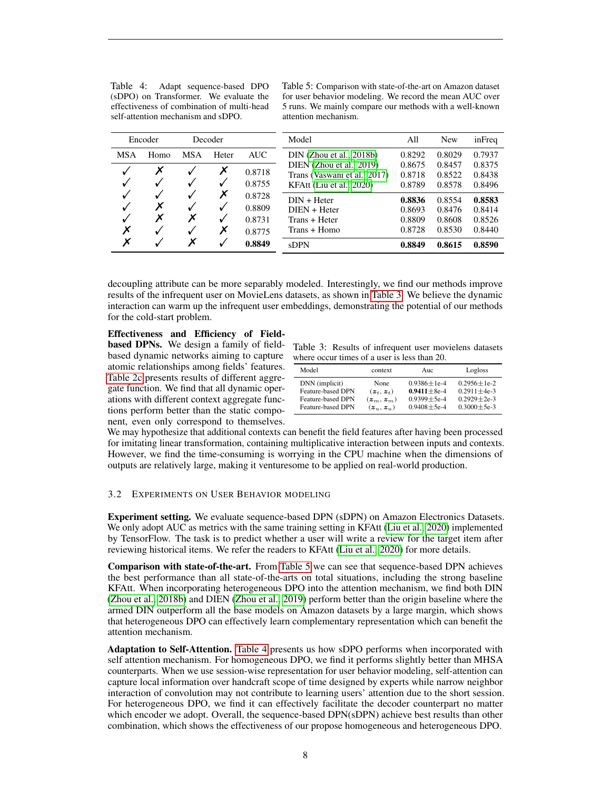<span id="page-7-1"></span>Table 4: Adapt sequence-based DPO (sDPO) on Transformer. We evaluate the effectiveness of combination of multi-head self-attention mechanism and sDPO.

Table 5: Comparison with state-of-the-art on Amazon dataset for user behavior modeling. We record the mean AUC over 5 runs. We mainly compare our methods with a well-known attention mechanism.

|             | Encoder |     | Decoder     |                                      | Model                                                                                | All                                  | <b>New</b>                           | inFreq                               |
|-------------|---------|-----|-------------|--------------------------------------|--------------------------------------------------------------------------------------|--------------------------------------|--------------------------------------|--------------------------------------|
| <b>MSA</b>  | Homo    | MSA | Heter       | AUC                                  | $DIN$ (Zhou et al., 2018b)                                                           | 0.8292                               | 0.8029                               | 0.7937                               |
|             | Х       |     | Х           | 0.8718<br>0.8755                     | DIEN (Zhou et al., 2019)<br>Trans (Vaswani et al., 2017)<br>KFAtt (Liu et al., 2020) | 0.8675<br>0.8718<br>0.8789           | 0.8457<br>0.8522<br>0.8578           | 0.8375<br>0.8438<br>0.8496           |
| √<br>√<br>Х | X<br>Х  | Х   | Х<br>√<br>Х | 0.8728<br>0.8809<br>0.8731<br>0.8775 | $DIN + Heter$<br>$DIEN + Heter$<br>Trans + Heter<br>Trans + Homo                     | 0.8836<br>0.8693<br>0.8809<br>0.8728 | 0.8554<br>0.8476<br>0.8608<br>0.8530 | 0.8583<br>0.8414<br>0.8526<br>0.8440 |
| Х           |         | x   |             | 0.8849                               | <b>sDPN</b>                                                                          | 0.8849                               | 0.8615                               | 0.8590                               |

decoupling attribute can be more separably modeled. Interestingly, we find our methods improve results of the infrequent user on MovieLens datasets, as shown in [Table 3.](#page-7-0) We believe the dynamic interaction can warm up the infrequent user embeddings, demonstrating the potential of our methods for the cold-start problem.

# Effectiveness and Efficiency of Field-

**based DPNs.** We design a family of fieldbased dynamic networks aiming to capture w atomic relationships among fields' features. [Table 2c](#page-6-0) presents results of different aggregate function. We find that all dynamic operations with different context aggregate functions perform better than the static component, even only correspond to themselves.

<span id="page-7-0"></span>

|  | Table 3: Results of infrequent user movielens datasets |  |  |
|--|--------------------------------------------------------|--|--|
|  | where occur times of a user is less than 20.           |  |  |

| Model                    | context          | Anc.            | Logloss         |
|--------------------------|------------------|-----------------|-----------------|
| DNN (implicit)           | <b>None</b>      | $0.9386 + 1e-4$ | $0.2956 + 1e-2$ |
| <b>Feature-based DPN</b> | $(z_{t}, z_{t})$ | $0.9411 + 8e-4$ | $0.2911 + 4e-3$ |
| Feature-based DPN        | $(z_m, z_m)$     | $0.9399 + 5e-4$ | $0.2929 + 2e-3$ |
| <b>Feature-based DPN</b> | $(z_u, z_u)$     | $0.9408 + 5e-4$ | $0.3000 + 5e-3$ |

We may hypothesize that additional contexts can benefit the field features after having been processed for imitating linear transformation, containing multiplicative interaction between inputs and contexts. However, we find the time-consuming is worrying in the CPU machine when the dimensions of outputs are relatively large, making it venturesome to be applied on real-world production.

# 3.2 EXPERIMENTS ON USER BEHAVIOR MODELING

Experiment setting. We evaluate sequence-based DPN (sDPN) on Amazon Electronics Datasets. We only adopt AUC as metrics with the same training setting in KFAtt [\(Liu et al., 2020\)](#page-10-4) implemented by TensorFlow. The task is to predict whether a user will write a review for the target item after reviewing historical items. We refer the readers to KFAtt [\(Liu et al., 2020\)](#page-10-4) for more details.

Comparison with state-of-the-art. From [Table 5](#page-7-1) we can see that sequence-based DPN achieves the best performance than all state-of-the-arts on total situations, including the strong baseline KFAtt. When incorporating heterogeneous DPO into the attention mechanism, we find both DIN [\(Zhou et al., 2018b\)](#page-11-0) and DIEN [\(Zhou et al., 2019\)](#page-11-1) perform better than the origin baseline where the armed DIN outperform all the base models on Amazon datasets by a large margin, which shows that heterogeneous DPO can effectively learn complementary representation which can benefit the attention mechanism.

Adaptation to Self-Attention. [Table 4](#page-7-1) presents us how sDPO performs when incorporated with self attention mechanism. For homogeneous DPO, we find it performs slightly better than MHSA counterparts. When we use session-wise representation for user behavior modeling, self-attention can capture local information over handcraft scope of time designed by experts while narrow neighbor interaction of convolution may not contribute to learning users' attention due to the short session. For heterogeneous DPO, we find it can effectively facilitate the decoder counterpart no matter which encoder we adopt. Overall, the sequence-based DPN(sDPN) achieve best results than other combination, which shows the effectiveness of our propose homogeneous and heterogeneous DPO.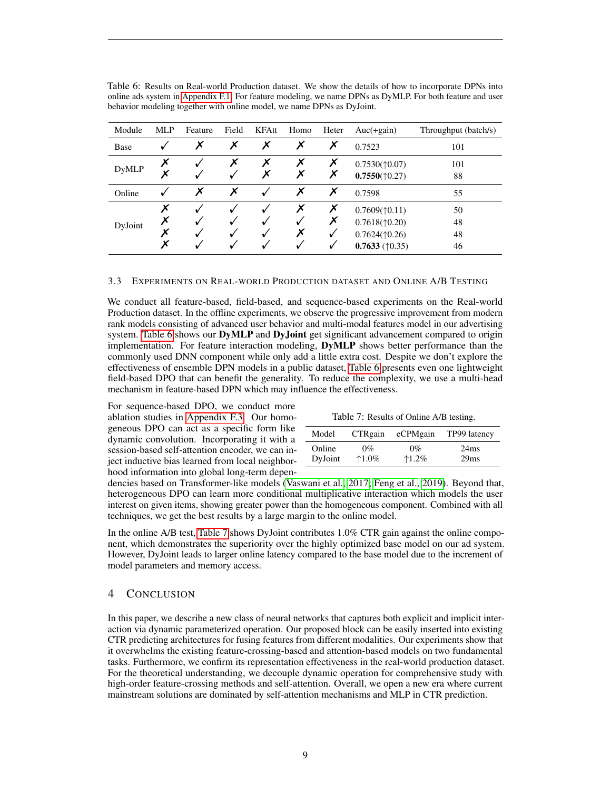| Module       | <b>MLP</b>       | Feature | Field | <b>KFAtt</b> | Homo   | Heter                  | $Auc(+gain)$                                                                                                                        | Throughput (batch/s) |
|--------------|------------------|---------|-------|--------------|--------|------------------------|-------------------------------------------------------------------------------------------------------------------------------------|----------------------|
| Base         | v                | X       | Х     | Х            | X      | Х                      | 0.7523                                                                                                                              | 101                  |
| <b>DyMLP</b> | Х<br>Х           |         | Х     | Х<br>Х       | Х<br>Х | Х<br>Х                 | $0.7530(\text{\textdegree}0.07)$<br>$0.7550(\textcolor{red}{\uparrow}0.27)$                                                         | 101<br>88            |
| Online       |                  | X       | Х     |              | Х      | Х                      | 0.7598                                                                                                                              | 55                   |
| DyJoint      | Х<br>Х<br>Х<br>Х |         |       |              | Х<br>Х | Х<br>Х<br>$\checkmark$ | $0.7609(\text{\textdegree}0.11)$<br>$0.7618(\textcolor{red}{\uparrow}0.20)$<br>$0.7624(\text{\textdegree}0.26)$<br>$0.7633$ (†0.35) | 50<br>48<br>48<br>46 |

<span id="page-8-0"></span>Table 6: Results on Real-world Production dataset. We show the details of how to incorporate DPNs into online ads system in [Appendix F.1.](#page-19-0) For feature modeling, we name DPNs as DyMLP. For both feature and user behavior modeling together with online model, we name DPNs as DyJoint.

#### 3.3 EXPERIMENTS ON REAL-WORLD PRODUCTION DATASET AND ONLINE A/B TESTING

We conduct all feature-based, field-based, and sequence-based experiments on the Real-world Production dataset. In the offline experiments, we observe the progressive improvement from modern rank models consisting of advanced user behavior and multi-modal features model in our advertising system. [Table 6](#page-8-0) shows our **DyMLP** and **DyJoint** get significant advancement compared to origin implementation. For feature interaction modeling, DyMLP shows better performance than the commonly used DNN component while only add a little extra cost. Despite we don't explore the effectiveness of ensemble DPN models in a public dataset, [Table 6](#page-8-0) presents even one lightweight field-based DPO that can benefit the generality. To reduce the complexity, we use a multi-head mechanism in feature-based DPN which may influence the effectiveness.

For sequence-based DPO, we conduct more ablation studies in [Appendix F.3.](#page-20-0) Our homogeneous DPO can act as a specific form like dynamic convolution. Incorporating it with a session-based self-attention encoder, we can inject inductive bias learned from local neighborhood information into global long-term depen-

|  |  | Table 7: Results of Online A/B testing. |  |  |
|--|--|-----------------------------------------|--|--|
|--|--|-----------------------------------------|--|--|

<span id="page-8-1"></span>

| Model   | CTRgain  | eCPMgain | TP99 latency |
|---------|----------|----------|--------------|
| Online  | $0\%$    | $0\%$    | 24ms         |
| DyJoint | $*1.0\%$ | $1.2\%$  | 29ms         |

dencies based on Transformer-like models [\(Vaswani et al., 2017;](#page-10-5) [Feng et al., 2019\)](#page-9-2). Beyond that, heterogeneous DPO can learn more conditional multiplicative interaction which models the user interest on given items, showing greater power than the homogeneous component. Combined with all techniques, we get the best results by a large margin to the online model.

In the online A/B test, [Table 7](#page-8-1) shows DyJoint contributes 1.0% CTR gain against the online component, which demonstrates the superiority over the highly optimized base model on our ad system. However, DyJoint leads to larger online latency compared to the base model due to the increment of model parameters and memory access.

# 4 CONCLUSION

In this paper, we describe a new class of neural networks that captures both explicit and implicit interaction via dynamic parameterized operation. Our proposed block can be easily inserted into existing CTR predicting architectures for fusing features from different modalities. Our experiments show that it overwhelms the existing feature-crossing-based and attention-based models on two fundamental tasks. Furthermore, we confirm its representation effectiveness in the real-world production dataset. For the theoretical understanding, we decouple dynamic operation for comprehensive study with high-order feature-crossing methods and self-attention. Overall, we open a new era where current mainstream solutions are dominated by self-attention mechanisms and MLP in CTR prediction.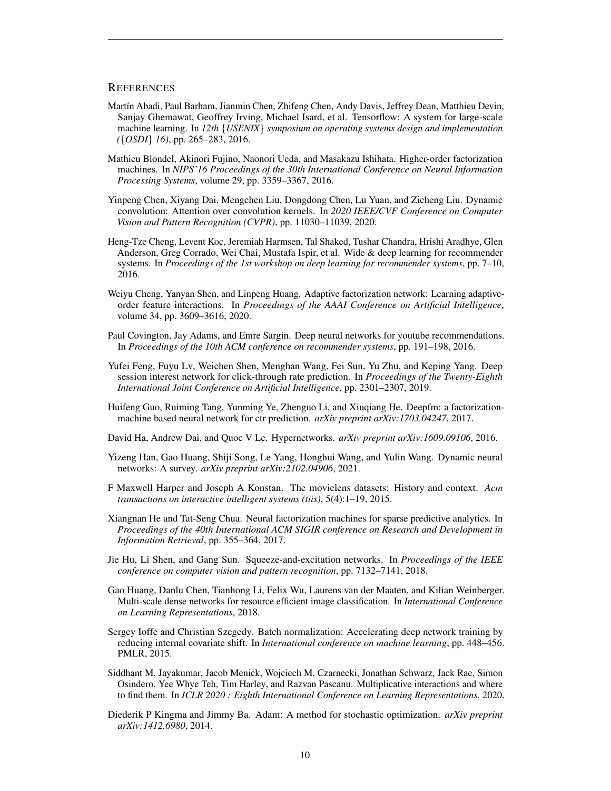## **REFERENCES**

- <span id="page-9-9"></span>Martín Abadi, Paul Barham, Jianmin Chen, Zhifeng Chen, Andy Davis, Jeffrey Dean, Matthieu Devin, Sanjay Ghemawat, Geoffrey Irving, Michael Isard, et al. Tensorflow: A system for large-scale machine learning. In *12th* {*USENIX*} *symposium on operating systems design and implementation (*{*OSDI*} *16)*, pp. 265–283, 2016.
- <span id="page-9-7"></span>Mathieu Blondel, Akinori Fujino, Naonori Ueda, and Masakazu Ishihata. Higher-order factorization machines. In *NIPS'16 Proceedings of the 30th International Conference on Neural Information Processing Systems*, volume 29, pp. 3359–3367, 2016.
- <span id="page-9-3"></span>Yinpeng Chen, Xiyang Dai, Mengchen Liu, Dongdong Chen, Lu Yuan, and Zicheng Liu. Dynamic convolution: Attention over convolution kernels. In *2020 IEEE/CVF Conference on Computer Vision and Pattern Recognition (CVPR)*, pp. 11030–11039, 2020.
- <span id="page-9-0"></span>Heng-Tze Cheng, Levent Koc, Jeremiah Harmsen, Tal Shaked, Tushar Chandra, Hrishi Aradhye, Glen Anderson, Greg Corrado, Wei Chai, Mustafa Ispir, et al. Wide & deep learning for recommender systems. In *Proceedings of the 1st workshop on deep learning for recommender systems*, pp. 7–10, 2016.
- <span id="page-9-8"></span>Weiyu Cheng, Yanyan Shen, and Linpeng Huang. Adaptive factorization network: Learning adaptiveorder feature interactions. In *Proceedings of the AAAI Conference on Artificial Intelligence*, volume 34, pp. 3609–3616, 2020.
- <span id="page-9-12"></span>Paul Covington, Jay Adams, and Emre Sargin. Deep neural networks for youtube recommendations. In *Proceedings of the 10th ACM conference on recommender systems*, pp. 191–198, 2016.
- <span id="page-9-2"></span>Yufei Feng, Fuyu Lv, Weichen Shen, Menghan Wang, Fei Sun, Yu Zhu, and Keping Yang. Deep session interest network for click-through rate prediction. In *Proceedings of the Twenty-Eighth International Joint Conference on Artificial Intelligence*, pp. 2301–2307, 2019.
- <span id="page-9-1"></span>Huifeng Guo, Ruiming Tang, Yunming Ye, Zhenguo Li, and Xiuqiang He. Deepfm: a factorizationmachine based neural network for ctr prediction. *arXiv preprint arXiv:1703.04247*, 2017.
- <span id="page-9-6"></span>David Ha, Andrew Dai, and Quoc V Le. Hypernetworks. *arXiv preprint arXiv:1609.09106*, 2016.
- <span id="page-9-13"></span>Yizeng Han, Gao Huang, Shiji Song, Le Yang, Honghui Wang, and Yulin Wang. Dynamic neural networks: A survey. *arXiv preprint arXiv:2102.04906*, 2021.
- <span id="page-9-16"></span>F Maxwell Harper and Joseph A Konstan. The movielens datasets: History and context. *Acm transactions on interactive intelligent systems (tiis)*, 5(4):1–19, 2015.
- <span id="page-9-5"></span>Xiangnan He and Tat-Seng Chua. Neural factorization machines for sparse predictive analytics. In *Proceedings of the 40th International ACM SIGIR conference on Research and Development in Information Retrieval*, pp. 355–364, 2017.
- <span id="page-9-15"></span>Jie Hu, Li Shen, and Gang Sun. Squeeze-and-excitation networks. In *Proceedings of the IEEE conference on computer vision and pattern recognition*, pp. 7132–7141, 2018.
- <span id="page-9-14"></span>Gao Huang, Danlu Chen, Tianhong Li, Felix Wu, Laurens van der Maaten, and Kilian Weinberger. Multi-scale dense networks for resource efficient image classification. In *International Conference on Learning Representations*, 2018.
- <span id="page-9-11"></span>Sergey Ioffe and Christian Szegedy. Batch normalization: Accelerating deep network training by reducing internal covariate shift. In *International conference on machine learning*, pp. 448–456. PMLR, 2015.
- <span id="page-9-4"></span>Siddhant M. Jayakumar, Jacob Menick, Wojciech M. Czarnecki, Jonathan Schwarz, Jack Rae, Simon Osindero, Yee Whye Teh, Tim Harley, and Razvan Pascanu. Multiplicative interactions and where to find them. In *ICLR 2020 : Eighth International Conference on Learning Representations*, 2020.
- <span id="page-9-10"></span>Diederik P Kingma and Jimmy Ba. Adam: A method for stochastic optimization. *arXiv preprint arXiv:1412.6980*, 2014.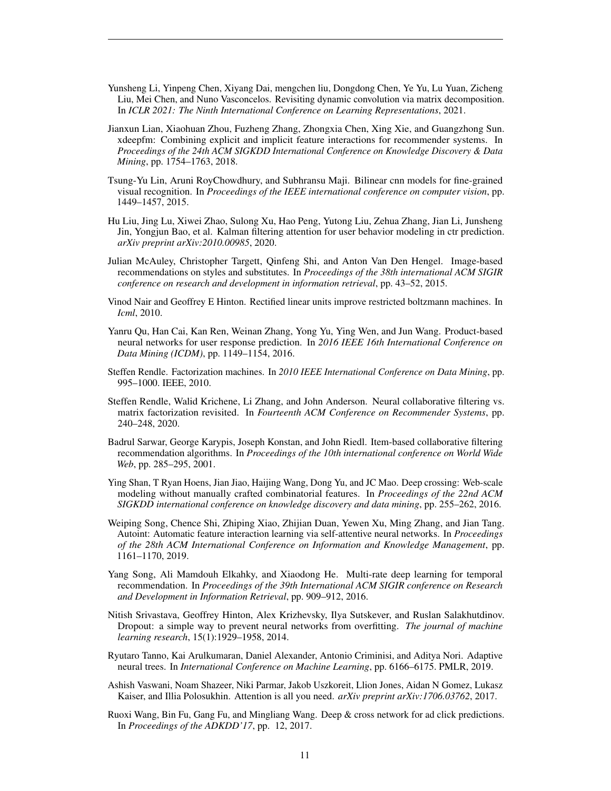- <span id="page-10-14"></span>Yunsheng Li, Yinpeng Chen, Xiyang Dai, mengchen liu, Dongdong Chen, Ye Yu, Lu Yuan, Zicheng Liu, Mei Chen, and Nuno Vasconcelos. Revisiting dynamic convolution via matrix decomposition. In *ICLR 2021: The Ninth International Conference on Learning Representations*, 2021.
- <span id="page-10-8"></span>Jianxun Lian, Xiaohuan Zhou, Fuzheng Zhang, Zhongxia Chen, Xing Xie, and Guangzhong Sun. xdeepfm: Combining explicit and implicit feature interactions for recommender systems. In *Proceedings of the 24th ACM SIGKDD International Conference on Knowledge Discovery & Data Mining*, pp. 1754–1763, 2018.
- <span id="page-10-6"></span>Tsung-Yu Lin, Aruni RoyChowdhury, and Subhransu Maji. Bilinear cnn models for fine-grained visual recognition. In *Proceedings of the IEEE international conference on computer vision*, pp. 1449–1457, 2015.
- <span id="page-10-4"></span>Hu Liu, Jing Lu, Xiwei Zhao, Sulong Xu, Hao Peng, Yutong Liu, Zehua Zhang, Jian Li, Junsheng Jin, Yongjun Bao, et al. Kalman filtering attention for user behavior modeling in ctr prediction. *arXiv preprint arXiv:2010.00985*, 2020.
- <span id="page-10-13"></span>Julian McAuley, Christopher Targett, Qinfeng Shi, and Anton Van Den Hengel. Image-based recommendations on styles and substitutes. In *Proceedings of the 38th international ACM SIGIR conference on research and development in information retrieval*, pp. 43–52, 2015.
- <span id="page-10-9"></span>Vinod Nair and Geoffrey E Hinton. Rectified linear units improve restricted boltzmann machines. In *Icml*, 2010.
- <span id="page-10-7"></span>Yanru Qu, Han Cai, Kan Ren, Weinan Zhang, Yong Yu, Ying Wen, and Jun Wang. Product-based neural networks for user response prediction. In *2016 IEEE 16th International Conference on Data Mining (ICDM)*, pp. 1149–1154, 2016.
- <span id="page-10-0"></span>Steffen Rendle. Factorization machines. In *2010 IEEE International Conference on Data Mining*, pp. 995–1000. IEEE, 2010.
- <span id="page-10-2"></span>Steffen Rendle, Walid Krichene, Li Zhang, and John Anderson. Neural collaborative filtering vs. matrix factorization revisited. In *Fourteenth ACM Conference on Recommender Systems*, pp. 240–248, 2020.
- <span id="page-10-10"></span>Badrul Sarwar, George Karypis, Joseph Konstan, and John Riedl. Item-based collaborative filtering recommendation algorithms. In *Proceedings of the 10th international conference on World Wide Web*, pp. 285–295, 2001.
- <span id="page-10-16"></span>Ying Shan, T Ryan Hoens, Jian Jiao, Haijing Wang, Dong Yu, and JC Mao. Deep crossing: Web-scale modeling without manually crafted combinatorial features. In *Proceedings of the 22nd ACM SIGKDD international conference on knowledge discovery and data mining*, pp. 255–262, 2016.
- <span id="page-10-3"></span>Weiping Song, Chence Shi, Zhiping Xiao, Zhijian Duan, Yewen Xu, Ming Zhang, and Jian Tang. Autoint: Automatic feature interaction learning via self-attentive neural networks. In *Proceedings of the 28th ACM International Conference on Information and Knowledge Management*, pp. 1161–1170, 2019.
- <span id="page-10-11"></span>Yang Song, Ali Mamdouh Elkahky, and Xiaodong He. Multi-rate deep learning for temporal recommendation. In *Proceedings of the 39th International ACM SIGIR conference on Research and Development in Information Retrieval*, pp. 909–912, 2016.
- <span id="page-10-15"></span>Nitish Srivastava, Geoffrey Hinton, Alex Krizhevsky, Ilya Sutskever, and Ruslan Salakhutdinov. Dropout: a simple way to prevent neural networks from overfitting. *The journal of machine learning research*, 15(1):1929–1958, 2014.
- <span id="page-10-12"></span>Ryutaro Tanno, Kai Arulkumaran, Daniel Alexander, Antonio Criminisi, and Aditya Nori. Adaptive neural trees. In *International Conference on Machine Learning*, pp. 6166–6175. PMLR, 2019.
- <span id="page-10-5"></span>Ashish Vaswani, Noam Shazeer, Niki Parmar, Jakob Uszkoreit, Llion Jones, Aidan N Gomez, Lukasz Kaiser, and Illia Polosukhin. Attention is all you need. *arXiv preprint arXiv:1706.03762*, 2017.
- <span id="page-10-1"></span>Ruoxi Wang, Bin Fu, Gang Fu, and Mingliang Wang. Deep & cross network for ad click predictions. In *Proceedings of the ADKDD'17*, pp. 12, 2017.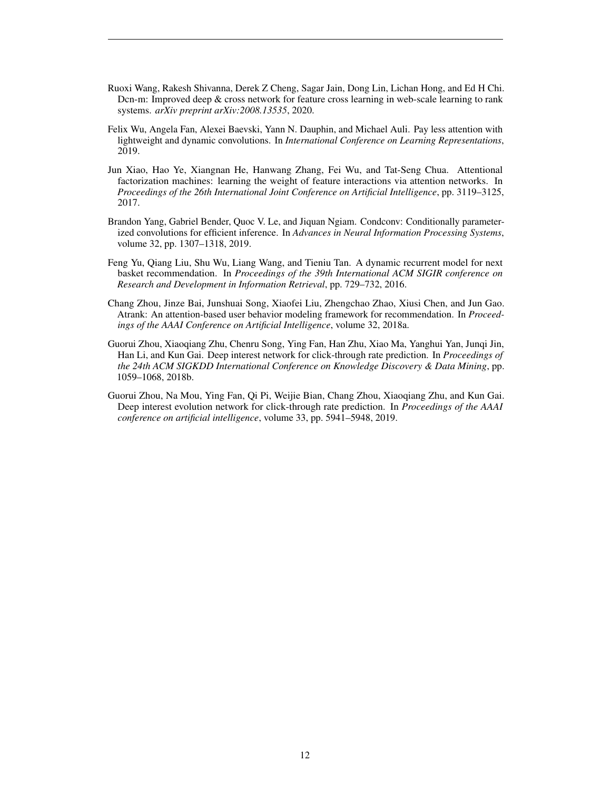- <span id="page-11-6"></span>Ruoxi Wang, Rakesh Shivanna, Derek Z Cheng, Sagar Jain, Dong Lin, Lichan Hong, and Ed H Chi. Dcn-m: Improved deep & cross network for feature cross learning in web-scale learning to rank systems. *arXiv preprint arXiv:2008.13535*, 2020.
- <span id="page-11-3"></span>Felix Wu, Angela Fan, Alexei Baevski, Yann N. Dauphin, and Michael Auli. Pay less attention with lightweight and dynamic convolutions. In *International Conference on Learning Representations*, 2019.
- <span id="page-11-5"></span>Jun Xiao, Hao Ye, Xiangnan He, Hanwang Zhang, Fei Wu, and Tat-Seng Chua. Attentional factorization machines: learning the weight of feature interactions via attention networks. In *Proceedings of the 26th International Joint Conference on Artificial Intelligence*, pp. 3119–3125, 2017.
- <span id="page-11-2"></span>Brandon Yang, Gabriel Bender, Quoc V. Le, and Jiquan Ngiam. Condconv: Conditionally parameterized convolutions for efficient inference. In *Advances in Neural Information Processing Systems*, volume 32, pp. 1307–1318, 2019.
- <span id="page-11-7"></span>Feng Yu, Qiang Liu, Shu Wu, Liang Wang, and Tieniu Tan. A dynamic recurrent model for next basket recommendation. In *Proceedings of the 39th International ACM SIGIR conference on Research and Development in Information Retrieval*, pp. 729–732, 2016.
- <span id="page-11-4"></span>Chang Zhou, Jinze Bai, Junshuai Song, Xiaofei Liu, Zhengchao Zhao, Xiusi Chen, and Jun Gao. Atrank: An attention-based user behavior modeling framework for recommendation. In *Proceedings of the AAAI Conference on Artificial Intelligence*, volume 32, 2018a.
- <span id="page-11-0"></span>Guorui Zhou, Xiaoqiang Zhu, Chenru Song, Ying Fan, Han Zhu, Xiao Ma, Yanghui Yan, Junqi Jin, Han Li, and Kun Gai. Deep interest network for click-through rate prediction. In *Proceedings of the 24th ACM SIGKDD International Conference on Knowledge Discovery & Data Mining*, pp. 1059–1068, 2018b.
- <span id="page-11-1"></span>Guorui Zhou, Na Mou, Ying Fan, Qi Pi, Weijie Bian, Chang Zhou, Xiaoqiang Zhu, and Kun Gai. Deep interest evolution network for click-through rate prediction. In *Proceedings of the AAAI conference on artificial intelligence*, volume 33, pp. 5941–5948, 2019.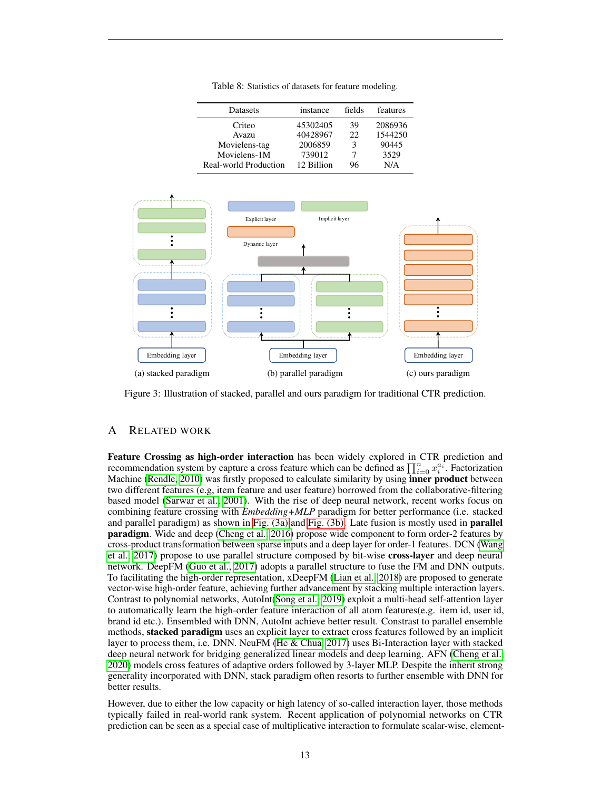Table 8: Statistics of datasets for feature modeling.

<span id="page-12-2"></span>

| Datasets              | instance   | fields | features |
|-----------------------|------------|--------|----------|
| Criteo                | 45302405   | 39     | 2086936  |
| Avazu                 | 40428967   | 22     | 1544250  |
| Movielens-tag         | 2006859    | 3      | 90445    |
| Movielens-1M          | 739012     |        | 3529     |
| Real-world Production | 12 Billion | 96     | N/A      |

<span id="page-12-1"></span>

Figure 3: Illustration of stacked, parallel and ours paradigm for traditional CTR prediction.

# <span id="page-12-0"></span>A RELATED WORK

Feature Crossing as high-order interaction has been widely explored in CTR prediction and recommendation system by capture a cross feature which can be defined as  $\prod_{i=0}^n x_i^{a_i}$ . Factorization Machine [\(Rendle, 2010\)](#page-10-0) was firstly proposed to calculate similarity by using **inner product** between two different features (e.g, item feature and user feature) borrowed from the collaborative-filtering based model [\(Sarwar et al., 2001\)](#page-10-10). With the rise of deep neural network, recent works focus on combining feature crossing with *Embedding+MLP* paradigm for better performance (i.e. stacked and parallel paradigm) as shown in [Fig. \(3a\)](#page-12-1) and [Fig. \(3b\).](#page-12-1) Late fusion is mostly used in **parallel** paradigm. Wide and deep [\(Cheng et al., 2016\)](#page-9-0) propose wide component to form order-2 features by cross-product transformation between sparse inputs and a deep layer for order-1 features. DCN [\(Wang](#page-10-1) [et al., 2017\)](#page-10-1) propose to use parallel structure composed by bit-wise cross-layer and deep neural network. DeepFM [\(Guo et al., 2017\)](#page-9-1) adopts a parallel structure to fuse the FM and DNN outputs. To facilitating the high-order representation, xDeepFM [\(Lian et al., 2018\)](#page-10-8) are proposed to generate vector-wise high-order feature, achieving further advancement by stacking multiple interaction layers. Contrast to polynomial networks, AutoInt[\(Song et al., 2019\)](#page-10-3) exploit a multi-head self-attention layer to automatically learn the high-order feature interaction of all atom features(e.g. item id, user id, brand id etc.). Ensembled with DNN, AutoInt achieve better result. Constrast to parallel ensemble methods, **stacked paradigm** uses an explicit layer to extract cross features followed by an implicit layer to process them, i.e. DNN. NeuFM [\(He & Chua, 2017\)](#page-9-5) uses Bi-Interaction layer with stacked deep neural network for bridging generalized linear models and deep learning. AFN [\(Cheng et al.,](#page-9-8) [2020\)](#page-9-8) models cross features of adaptive orders followed by 3-layer MLP. Despite the inherit strong generality incorporated with DNN, stack paradigm often resorts to further ensemble with DNN for better results.

However, due to either the low capacity or high latency of so-called interaction layer, those methods typically failed in real-world rank system. Recent application of polynomial networks on CTR prediction can be seen as a special case of multiplicative interaction to formulate scalar-wise, element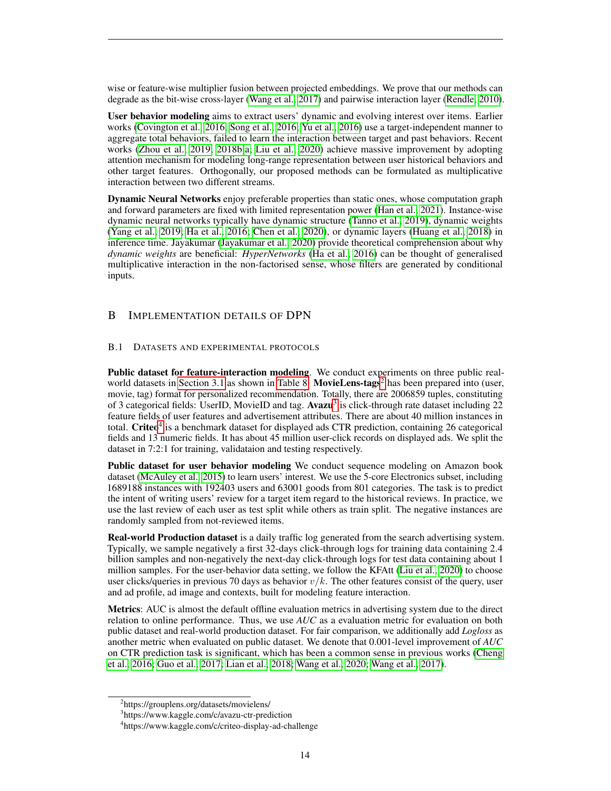wise or feature-wise multiplier fusion between projected embeddings. We prove that our methods can degrade as the bit-wise cross-layer [\(Wang et al., 2017\)](#page-10-1) and pairwise interaction layer [\(Rendle, 2010\)](#page-10-0).

User behavior modeling aims to extract users' dynamic and evolving interest over items. Earlier works [\(Covington et al., 2016;](#page-9-12) [Song et al., 2016;](#page-10-11) [Yu et al., 2016\)](#page-11-7) use a target-independent manner to aggregate total behaviors, failed to learn the interaction between target and past behaviors. Recent works [\(Zhou et al., 2019;](#page-11-1) [2018b;](#page-11-0)[a;](#page-11-4) [Liu et al., 2020\)](#page-10-4) achieve massive improvement by adopting attention mechanism for modeling long-range representation between user historical behaviors and other target features. Orthogonally, our proposed methods can be formulated as multiplicative interaction between two different streams.

Dynamic Neural Networks enjoy preferable properties than static ones, whose computation graph and forward parameters are fixed with limited representation power [\(Han et al., 2021\)](#page-9-13). Instance-wise dynamic neural networks typically have dynamic structure [\(Tanno et al., 2019\)](#page-10-12), dynamic weights [\(Yang et al., 2019;](#page-11-2) [Ha et al., 2016;](#page-9-6) [Chen et al., 2020\)](#page-9-3), or dynamic layers [\(Huang et al., 2018\)](#page-9-14) in inference time. Jayakumar [\(Jayakumar et al., 2020\)](#page-9-4) provide theoretical comprehension about why *dynamic weights* are beneficial: *HyperNetworks* [\(Ha et al., 2016\)](#page-9-6) can be thought of generalised multiplicative interaction in the non-factorised sense, whose filters are generated by conditional inputs.

# <span id="page-13-0"></span>B IMPLEMENTATION DETAILS OF DPN

## B.1 DATASETS AND EXPERIMENTAL PROTOCOLS

Public dataset for feature-interaction modeling. We conduct experiments on three public real-world datasets in [Section 3.1](#page-5-1) as shown in [Table 8.](#page-12-2) MovieLens-tags<sup>[2](#page-0-0)</sup> has been prepared into (user, movie, tag) format for personalized recommendation. Totally, there are 2006859 tuples, constituting of [3](#page-0-0) categorical fields: UserID, MovieID and tag. Avazu<sup>3</sup> is click-through rate dataset including 22 feature fields of user features and advertisement attributes. There are about 40 million instances in total. Criteo<sup>[4](#page-0-0)</sup> is a benchmark dataset for displayed ads CTR prediction, containing 26 categorical fields and 13 numeric fields. It has about 45 million user-click records on displayed ads. We split the dataset in 7:2:1 for training, validataion and testing respectively.

Public dataset for user behavior modeling We conduct sequence modeling on Amazon book dataset [\(McAuley et al., 2015\)](#page-10-13) to learn users' interest. We use the 5-core Electronics subset, including 1689188 instances with 192403 users and 63001 goods from 801 categories. The task is to predict the intent of writing users' review for a target item regard to the historical reviews. In practice, we use the last review of each user as test split while others as train split. The negative instances are randomly sampled from not-reviewed items.

Real-world Production dataset is a daily traffic log generated from the search advertising system. Typically, we sample negatively a first 32-days click-through logs for training data containing 2.4 billion samples and non-negatively the next-day click-through logs for test data containing about 1 million samples. For the user-behavior data setting, we follow the KFAtt [\(Liu et al., 2020\)](#page-10-4) to choose user clicks/queries in previous 70 days as behavior  $v/k$ . The other features consist of the query, user and ad profile, ad image and contexts, built for modeling feature interaction.

Metrics: AUC is almost the default offline evaluation metrics in advertising system due to the direct relation to online performance. Thus, we use *AUC* as a evaluation metric for evaluation on both public dataset and real-world production dataset. For fair comparison, we additionally add *Logloss* as another metric when evaluated on public dataset. We denote that 0.001-level improvement of *AUC* on CTR prediction task is significant, which has been a common sense in previous works [\(Cheng](#page-9-0) [et al., 2016;](#page-9-0) [Guo et al., 2017;](#page-9-1) [Lian et al., 2018;](#page-10-8) [Wang et al., 2020;](#page-11-6) [Wang et al., 2017\)](#page-10-1).

<sup>2</sup> https://grouplens.org/datasets/movielens/

<sup>3</sup> https://www.kaggle.com/c/avazu-ctr-prediction

<sup>4</sup> https://www.kaggle.com/c/criteo-display-ad-challenge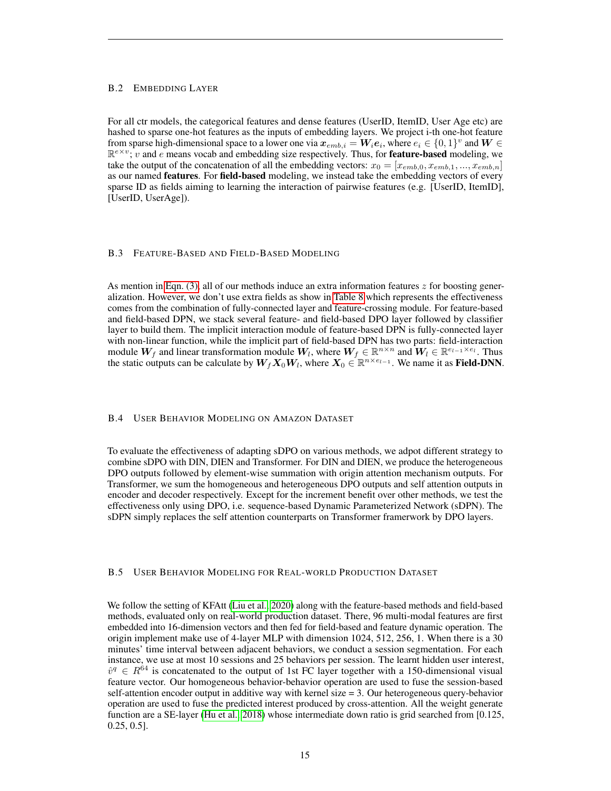#### B.2 EMBEDDING LAYER

For all ctr models, the categorical features and dense features (UserID, ItemID, User Age etc) are hashed to sparse one-hot features as the inputs of embedding layers. We project i-th one-hot feature from sparse high-dimensional space to a lower one via  $x_{emb,i} = W_i e_i$ , where  $e_i \in \{0,1\}^v$  and  $W \in$  $\mathbb{R}^{e \times v}$ ; v and e means vocab and embedding size respectively. Thus, for **feature-based** modeling, we take the output of the concatenation of all the embedding vectors:  $x_0 = [x_{emb,0}, x_{emb,1}, ..., x_{emb,n}]$ as our named **features**. For **field-based** modeling, we instead take the embedding vectors of every sparse ID as fields aiming to learning the interaction of pairwise features (e.g. [UserID, ItemID], [UserID, UserAge]).

#### B.3 FEATURE-BASED AND FIELD-BASED MODELING

As mention in [Eqn. \(3\),](#page-2-0) all of our methods induce an extra information features  $z$  for boosting generalization. However, we don't use extra fields as show in [Table 8](#page-12-2) which represents the effectiveness comes from the combination of fully-connected layer and feature-crossing module. For feature-based and field-based DPN, we stack several feature- and field-based DPO layer followed by classifier layer to build them. The implicit interaction module of feature-based DPN is fully-connected layer with non-linear function, while the implicit part of field-based DPN has two parts: field-interaction module  $W_f$  and linear transformation module  $W_l$ , where  $W_f \in \mathbb{R}^{n \times n}$  and  $W_l \in \mathbb{R}^{e_{l-1} \times e_l}$ . Thus the static outputs can be calculate by  $W_f X_0 W_l$ , where  $X_0 \in \mathbb{R}^{n \times e_{l-1}}$ . We name it as **Field-DNN**.

#### B.4 USER BEHAVIOR MODELING ON AMAZON DATASET

To evaluate the effectiveness of adapting sDPO on various methods, we adpot different strategy to combine sDPO with DIN, DIEN and Transformer. For DIN and DIEN, we produce the heterogeneous DPO outputs followed by element-wise summation with origin attention mechanism outputs. For Transformer, we sum the homogeneous and heterogeneous DPO outputs and self attention outputs in encoder and decoder respectively. Except for the increment benefit over other methods, we test the effectiveness only using DPO, i.e. sequence-based Dynamic Parameterized Network (sDPN). The sDPN simply replaces the self attention counterparts on Transformer framerwork by DPO layers.

### B.5 USER BEHAVIOR MODELING FOR REAL-WORLD PRODUCTION DATASET

We follow the setting of KFAtt [\(Liu et al., 2020\)](#page-10-4) along with the feature-based methods and field-based methods, evaluated only on real-world production dataset. There, 96 multi-modal features are first embedded into 16-dimension vectors and then fed for field-based and feature dynamic operation. The origin implement make use of 4-layer MLP with dimension 1024, 512, 256, 1. When there is a 30 minutes' time interval between adjacent behaviors, we conduct a session segmentation. For each instance, we use at most 10 sessions and 25 behaviors per session. The learnt hidden user interest,  $\hat{v}^q \in R^{64}$  is concatenated to the output of 1st FC layer together with a 150-dimensional visual feature vector. Our homogeneous behavior-behavior operation are used to fuse the session-based self-attention encoder output in additive way with kernel size = 3. Our heterogeneous query-behavior operation are used to fuse the predicted interest produced by cross-attention. All the weight generate function are a SE-layer [\(Hu et al., 2018\)](#page-9-15) whose intermediate down ratio is grid searched from [0.125, 0.25, 0.5].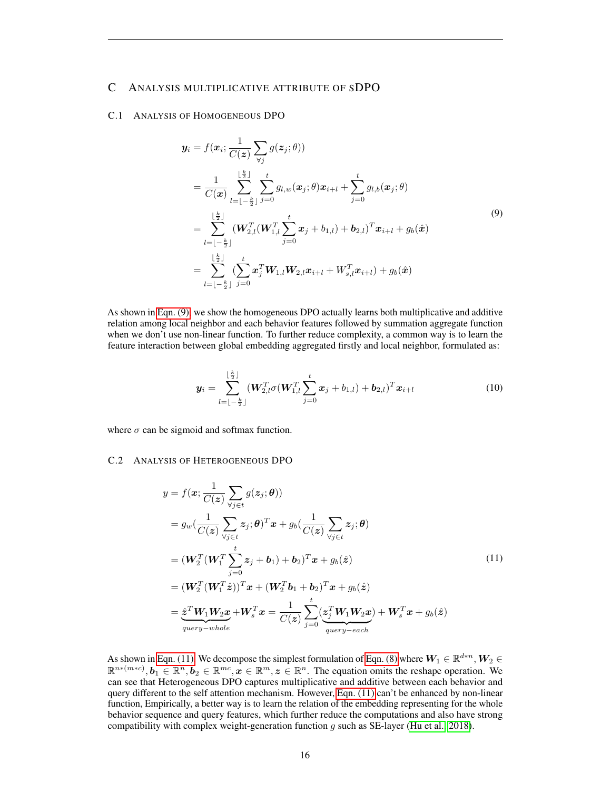# <span id="page-15-0"></span>C ANALYSIS MULTIPLICATIVE ATTRIBUTE OF SDPO

## C.1 ANALYSIS OF HOMOGENEOUS DPO

<span id="page-15-1"></span>
$$
\mathbf{y}_{i} = f(\mathbf{x}_{i}; \frac{1}{C(\mathbf{z})} \sum_{\forall j} g(\mathbf{z}_{j}; \theta))
$$
\n
$$
= \frac{1}{C(\mathbf{x})} \sum_{l=1-\frac{k}{2}}^{\lfloor \frac{k}{2} \rfloor} \sum_{j=0}^{t} g_{l,w}(\mathbf{x}_{j}; \theta) \mathbf{x}_{i+l} + \sum_{j=0}^{t} g_{l,b}(\mathbf{x}_{j}; \theta)
$$
\n
$$
= \sum_{l=1-\frac{k}{2}}^{\lfloor \frac{k}{2} \rfloor} (\mathbf{W}_{2,l}^{T}(\mathbf{W}_{1,l}^{T} \sum_{j=0}^{t} \mathbf{x}_{j} + b_{1,l}) + \mathbf{b}_{2,l})^{T} \mathbf{x}_{i+l} + g_{b}(\hat{\mathbf{x}})
$$
\n
$$
= \sum_{l=1-\frac{k}{2}}^{\lfloor \frac{k}{2} \rfloor} \sum_{j=0}^{t} \mathbf{x}_{j}^{T} \mathbf{W}_{1,l} \mathbf{W}_{2,l} \mathbf{x}_{i+l} + W_{s,l}^{T} \mathbf{x}_{i+l}) + g_{b}(\hat{\mathbf{x}})
$$
\n(9)

As shown in [Eqn. \(9\),](#page-15-1) we show the homogeneous DPO actually learns both multiplicative and additive relation among local neighbor and each behavior features followed by summation aggregate function when we don't use non-linear function. To further reduce complexity, a common way is to learn the feature interaction between global embedding aggregated firstly and local neighbor, formulated as:

$$
\boldsymbol{y}_{i} = \sum_{l=-\frac{k}{2}}^{\lfloor \frac{k}{2} \rfloor} (\boldsymbol{W}_{2,l}^{T} \sigma(\boldsymbol{W}_{1,l}^{T} \sum_{j=0}^{t} \boldsymbol{x}_{j} + b_{1,l}) + \boldsymbol{b}_{2,l})^{T} \boldsymbol{x}_{i+l}
$$
(10)

where  $\sigma$  can be sigmoid and softmax function.

# C.2 ANALYSIS OF HETEROGENEOUS DPO

<span id="page-15-2"></span>
$$
y = f(\boldsymbol{x}; \frac{1}{C(\boldsymbol{z})} \sum_{\forall j \in t} g(z_j; \boldsymbol{\theta}))
$$
  
\n
$$
= g_w(\frac{1}{C(\boldsymbol{z})} \sum_{\forall j \in t} z_j; \boldsymbol{\theta})^T \boldsymbol{x} + g_b(\frac{1}{C(\boldsymbol{z})} \sum_{\forall j \in t} z_j; \boldsymbol{\theta})
$$
  
\n
$$
= (\boldsymbol{W}_2^T (\boldsymbol{W}_1^T \sum_{j=0}^t z_j + b_1) + b_2)^T \boldsymbol{x} + g_b(\boldsymbol{z})
$$
  
\n
$$
= (\boldsymbol{W}_2^T (\boldsymbol{W}_1^T \boldsymbol{z}))^T \boldsymbol{x} + (\boldsymbol{W}_2^T b_1 + b_2)^T \boldsymbol{x} + g_b(\boldsymbol{z})
$$
  
\n
$$
= \underbrace{\boldsymbol{z}^T \boldsymbol{W}_1 \boldsymbol{W}_2 \boldsymbol{x}}_{query = whole} + \boldsymbol{W}_s^T \boldsymbol{x} = \frac{1}{C(\boldsymbol{z})} \sum_{j=0}^t (\boldsymbol{z}_j^T \boldsymbol{W}_1 \boldsymbol{W}_2 \boldsymbol{x}) + \boldsymbol{W}_s^T \boldsymbol{x} + g_b(\boldsymbol{z})
$$
  
\n
$$
= \underbrace{\boldsymbol{z}^T \boldsymbol{W}_1 \boldsymbol{W}_2 \boldsymbol{x}}_{query = whole} + \boldsymbol{W}_s^T \boldsymbol{x} = \frac{1}{C(\boldsymbol{z})} \sum_{j=0}^t (\boldsymbol{z}_j^T \boldsymbol{W}_1 \boldsymbol{W}_2 \boldsymbol{x}) + \boldsymbol{W}_s^T \boldsymbol{x} + g_b(\boldsymbol{z})
$$
  
\n(11)

As shown in [Eqn. \(11\),](#page-15-2) We decompose the simplest formulation of [Eqn. \(8\)](#page-5-2) where  $\bm{W}_1\in\mathbb{R}^{d*n},\bm{W}_2\in$  $\mathbb{R}^{n*(m*c)}, b_1 \in \mathbb{R}^n, b_2 \in \mathbb{R}^{mc}, x \in \mathbb{R}^m, z \in \mathbb{R}^n$ . The equation omits the reshape operation. We can see that Heterogeneous DPO captures multiplicative and additive between each behavior and query different to the self attention mechanism. However, [Eqn. \(11\)](#page-15-2) can't be enhanced by non-linear function, Empirically, a better way is to learn the relation of the embedding representing for the whole behavior sequence and query features, which further reduce the computations and also have strong compatibility with complex weight-generation function  $g$  such as SE-layer [\(Hu et al., 2018\)](#page-9-15).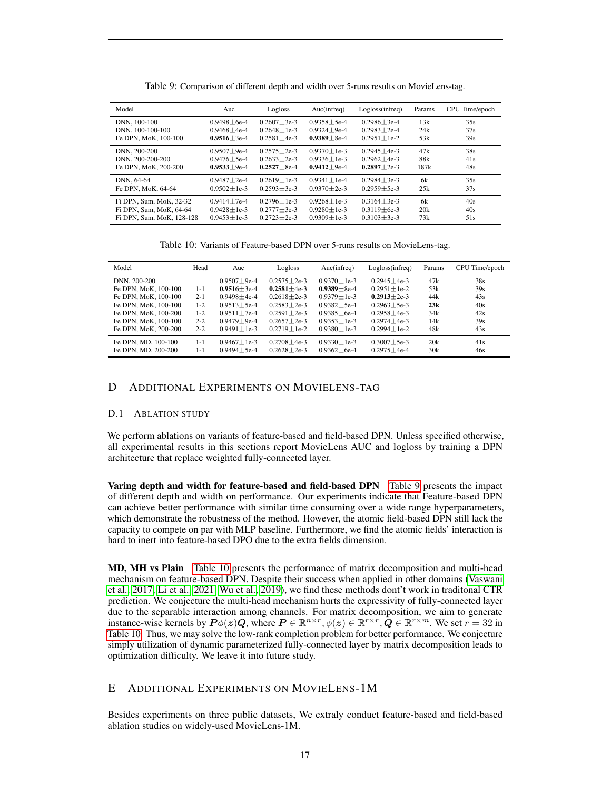<span id="page-16-1"></span>

| Model                     | Auc               | Logloss           | Auc(nfreq)        | Logloss(infreq)   | Params | CPU Time/epoch |
|---------------------------|-------------------|-------------------|-------------------|-------------------|--------|----------------|
| DNN, 100-100              | $0.9498 + 6e-4$   | $0.2607 + 3e-3$   | $0.9358 + 5e-4$   | $0.2986 + 3e-4$   | 13k    | 35s            |
| DNN, 100-100-100          | $0.9468 + 4e-4$   | $0.2648 + 1e-3$   | $0.9324 + 9e-4$   | $0.2983 + 2e-4$   | 24k    | 37s            |
| Fe DPN, MoK, 100-100      | $0.9516 \pm 3e-4$ | $0.2581 \pm 4e-3$ | $0.9389 + 8e-4$   | $0.2951 + 1e-2$   | 53k    | 39s            |
| DNN, 200-200              | $0.9507 \pm 9e-4$ | $0.2575 \pm 2e-3$ | $0.9370 \pm 1e-3$ | $0.2945 + 4e-3$   | 47k    | 38s            |
| DNN, 200-200-200          | $0.9476 \pm 5e-4$ | $0.2633 + 2e-3$   | $0.9336 \pm 1e-3$ | $0.2962 + 4e-3$   | 88k    | 41s            |
| Fe DPN, MoK, 200-200      | $0.9533 \pm 9e-4$ | $0.2527 \pm 8e-4$ | $0.9412 \pm 9e-4$ | $0.2897 \pm 2e-3$ | 187k   | 48s            |
| DNN, 64-64                | $0.9487 + 2e-4$   | $0.2619 + 1e-3$   | $0.9341 + 1e-4$   | $0.2984 + 3e-3$   | 6k     | 35s            |
| Fe DPN, MoK, 64-64        | $0.9502 + 1e-3$   | $0.2593 + 3e-3$   | $0.9370 + 2e-3$   | $0.2959 + 5e-3$   | 25k    | 37s            |
| Fi DPN, Sum, MoK, 32-32   | $0.9414 \pm 7e-4$ | $0.2796 \pm 1e-3$ | $0.9268 + 1e-3$   | $0.3164 + 3e-3$   | 6k     | 40s            |
| Fi DPN, Sum, MoK, 64-64   | $0.9428 \pm 1e-3$ | $0.2777 \pm 3e-3$ | $0.9280 + 1e-3$   | $0.3119 + 6e-3$   | 20k    | 40s            |
| Fi DPN, Sum, MoK, 128-128 | $0.9453 \pm 1e-3$ | $0.2723 \pm 2e-3$ | $0.9309 \pm 1e-3$ | $0.3103 + 3e-3$   | 73k    | 51s            |

Table 9: Comparison of different depth and width over 5-runs results on MovieLens-tag.

Table 10: Variants of Feature-based DPN over 5-runs results on MovieLens-tag.

<span id="page-16-2"></span>

| Model                | Head    | Auc               | Logloss           | Auc(infreq)       | Logloss(infreq)   | Params | CPU Time/epoch |
|----------------------|---------|-------------------|-------------------|-------------------|-------------------|--------|----------------|
| DNN, 200-200         |         | $0.9507 \pm 9e-4$ | $0.2575 \pm 2e-3$ | $0.9370 \pm 1e-3$ | $0.2945 + 4e-3$   | 47k    | 38s            |
| Fe DPN, MoK, 100-100 | $1 - 1$ | $0.9516 \pm 3e-4$ | $0.2581 \pm 4e-3$ | $0.9389 \pm 8e-4$ | $0.2951 \pm 1e-2$ | 53k    | 39s            |
| Fe DPN, MoK, 100-100 | $2 - 1$ | $0.9498 \pm 4e-4$ | $0.2618 \pm 2e-3$ | $0.9379 + 1e-3$   | $0.2913 + 2e-3$   | 44k    | 43s            |
| Fe DPN, MoK, 100-100 | $1-2$   | $0.9513 \pm 5e-4$ | $0.2583 \pm 2e-3$ | $0.9382 + 5e-4$   | $0.2963 + 5e-3$   | 23k    | 40s            |
| Fe DPN, MoK, 100-200 | $1-2$   | $0.9511 \pm 7e-4$ | $0.2591 \pm 2e-3$ | $0.9385 \pm 6e-4$ | $0.2958 \pm 4e-3$ | 34k    | 42s            |
| Fe DPN, MoK, 100-100 | $2 - 2$ | $0.9479 + 9e-4$   | $0.2657 + 2e-3$   | $0.9353 + 1e-3$   | $0.2974 + 4e-3$   | 14k    | 39s            |
| Fe DPN, MoK, 200-200 | $2 - 2$ | $0.9491 \pm 1e-3$ | $0.2719 \pm 1e-2$ | $0.9380 \pm 1e-3$ | $0.2994 \pm 1e-2$ | 48k    | 43s            |
| Fe DPN, MD, 100-100  | $1 - 1$ | $0.9467 \pm 1e-3$ | $0.2708 + 4e-3$   | $0.9330 \pm 1e-3$ | $0.3007 \pm 5e-3$ | 20k    | 41s            |
| Fe DPN, MD, 200-200  | $1 - 1$ | $0.9494 \pm 5e-4$ | $0.2628 + 2e-3$   | $0.9362 + 6e-4$   | $0.2975 + 4e-4$   | 30k    | 46s            |

# <span id="page-16-0"></span>D ADDITIONAL EXPERIMENTS ON MOVIELENS-TAG

### D.1 ABLATION STUDY

We perform ablations on variants of feature-based and field-based DPN. Unless specified otherwise, all experimental results in this sections report MovieLens AUC and logloss by training a DPN architecture that replace weighted fully-connected layer.

Varing depth and width for feature-based and field-based DPN [Table 9](#page-16-1) presents the impact of different depth and width on performance. Our experiments indicate that Feature-based DPN can achieve better performance with similar time consuming over a wide range hyperparameters, which demonstrate the robustness of the method. However, the atomic field-based DPN still lack the capacity to compete on par with MLP baseline. Furthermore, we find the atomic fields' interaction is hard to inert into feature-based DPO due to the extra fields dimension.

MD, MH vs Plain [Table 10](#page-16-2) presents the performance of matrix decomposition and multi-head mechanism on feature-based DPN. Despite their success when applied in other domains [\(Vaswani](#page-10-5) [et al., 2017;](#page-10-5) [Li et al., 2021;](#page-10-14) [Wu et al., 2019\)](#page-11-3), we find these methods dont't work in traditonal CTR prediction. We conjecture the multi-head mechanism hurts the expressivity of fully-connected layer due to the separable interaction among channels. For matrix decomposition, we aim to generate instance-wise kernels by  $P\phi(z)Q$ , where  $P \in \mathbb{R}^{n \times r}$ ,  $\phi(z) \in \mathbb{R}^{r \times r}$ ,  $Q \in \mathbb{R}^{r \times m}$ . We set  $r = 32$  in [Table 10.](#page-16-2) Thus, we may solve the low-rank completion problem for better performance. We conjecture simply utilization of dynamic parameterized fully-connected layer by matrix decomposition leads to optimization difficulty. We leave it into future study.

# E ADDITIONAL EXPERIMENTS ON MOVIELENS-1M

Besides experiments on three public datasets, We extraly conduct feature-based and field-based ablation studies on widely-used MovieLens-1M.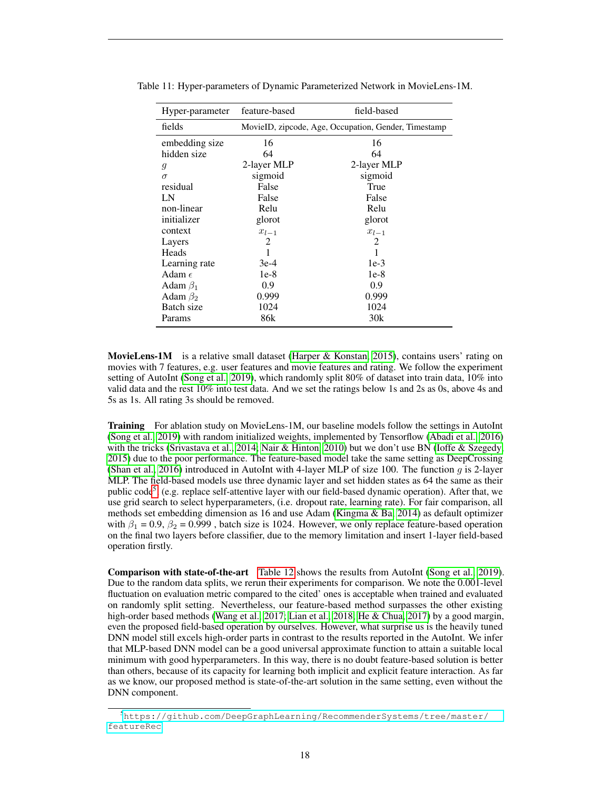| Hyper-parameter | feature-based | field-based                                          |
|-----------------|---------------|------------------------------------------------------|
| fields          |               | MovieID, zipcode, Age, Occupation, Gender, Timestamp |
| embedding size  | 16            | 16                                                   |
| hidden size     | 64            | 64                                                   |
| 9               | 2-layer MLP   | 2-layer MLP                                          |
| $\sigma$        | sigmoid       | sigmoid                                              |
| residual        | False         | True                                                 |
| LN              | False         | False                                                |
| non-linear      | Relu          | Relu                                                 |
| initializer     | glorot        | glorot                                               |
| context         | $x_{l-1}$     | $x_{l-1}$                                            |
| Layers          | 2             | 2                                                    |
| Heads           |               |                                                      |
| Learning rate   | $3e-4$        | $1e-3$                                               |
| Adam $\epsilon$ | $1e-8$        | $1e-8$                                               |
| Adam $\beta_1$  | 0.9           | 0.9                                                  |
| Adam $\beta_2$  | 0.999         | 0.999                                                |
| Batch size      | 1024          | 1024                                                 |
| Params          | 86k           | 30k                                                  |

Table 11: Hyper-parameters of Dynamic Parameterized Network in MovieLens-1M.

**MovieLens-1M** is a relative small dataset (Harper  $\&$  Konstan, 2015), contains users' rating on movies with 7 features, e.g. user features and movie features and rating. We follow the experiment setting of AutoInt [\(Song et al., 2019\)](#page-10-3), which randomly split 80% of dataset into train data, 10% into valid data and the rest 10% into test data. And we set the ratings below 1s and 2s as 0s, above 4s and 5s as 1s. All rating 3s should be removed.

**Training** For ablation study on MovieLens-1M, our baseline models follow the settings in AutoInt [\(Song et al., 2019\)](#page-10-3) with random initialized weights, implemented by Tensorflow [\(Abadi et al., 2016\)](#page-9-9) with the tricks [\(Srivastava et al., 2014;](#page-10-15) [Nair & Hinton, 2010\)](#page-10-9) but we don't use BN [\(Ioffe & Szegedy,](#page-9-11) [2015\)](#page-9-11) due to the poor performance. The feature-based model take the same setting as DeepCrossing [\(Shan et al., 2016\)](#page-10-16) introduced in AutoInt with 4-layer MLP of size 100. The function  $g$  is 2-layer MLP. The field-based models use three dynamic layer and set hidden states as 64 the same as their public code<sup>[5](#page-0-0)</sup>, (e.g. replace self-attentive layer with our field-based dynamic operation). After that, we use grid search to select hyperparameters, (i.e. dropout rate, learning rate). For fair comparison, all methods set embedding dimension as 16 and use Adam [\(Kingma & Ba, 2014\)](#page-9-10) as default optimizer with  $\beta_1 = 0.9$ ,  $\beta_2 = 0.999$ , batch size is 1024. However, we only replace feature-based operation on the final two layers before classifier, due to the memory limitation and insert 1-layer field-based operation firstly.

Comparison with state-of-the-art [Table 12](#page-18-0) shows the results from AutoInt [\(Song et al., 2019\)](#page-10-3). Due to the random data splits, we rerun their experiments for comparison. We note the 0.001-level fluctuation on evaluation metric compared to the cited' ones is acceptable when trained and evaluated on randomly split setting. Nevertheless, our feature-based method surpasses the other existing high-order based methods [\(Wang et al., 2017;](#page-10-1) [Lian et al., 2018;](#page-10-8) [He & Chua, 2017\)](#page-9-5) by a good margin, even the proposed field-based operation by ourselves. However, what surprise us is the heavily tuned DNN model still excels high-order parts in contrast to the results reported in the AutoInt. We infer that MLP-based DNN model can be a good universal approximate function to attain a suitable local minimum with good hyperparameters. In this way, there is no doubt feature-based solution is better than others, because of its capacity for learning both implicit and explicit feature interaction. As far as we know, our proposed method is state-of-the-art solution in the same setting, even without the DNN component.

<sup>5</sup>[https://github.com/DeepGraphLearning/RecommenderSystems/tree/master/](https://github.com/DeepGraphLearning/RecommenderSystems/tree/master/featureRec) [featureRec](https://github.com/DeepGraphLearning/RecommenderSystems/tree/master/featureRec)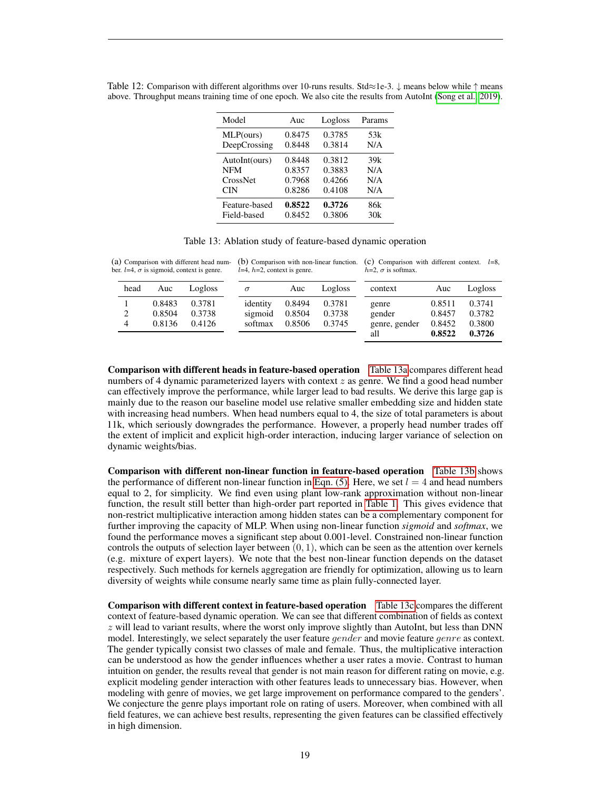| Model         | Auc    | Logloss | Params |
|---------------|--------|---------|--------|
| MLP(ours)     | 0.8475 | 0.3785  | 53k    |
| DeepCrossing  | 0.8448 | 0.3814  | N/A    |
| AutoInt(ours) | 0.8448 | 0.3812  | 39k    |
| <b>NFM</b>    | 0.8357 | 0.3883  | N/A    |
| CrossNet      | 0.7968 | 0.4266  | N/A    |
| CIN           | 0.8286 | 0.4108  | N/A    |
| Feature-based | 0.8522 | 0.3726  | 86k    |
| Field-based   | 0.8452 | 0.3806  | 30k    |

<span id="page-18-0"></span>Table 12: Comparison with different algorithms over 10-runs results. Std≈1e-3. ↓ means below while ↑ means above. Throughput means training time of one epoch. We also cite the results from AutoInt [\(Song et al., 2019\)](#page-10-3).

<span id="page-18-1"></span>(a) Comparison with different head num- (b) Comparison with non-linear function. (c) Comparison with different context.  $l=8$ , ber.  $l=4$ ,  $\sigma$  is sigmoid, context is genre.  $l=4$ ,  $h=2$ , context is genre.  $h=2$ ,  $\sigma$  is softmax.

| head | Auc    | Logloss | $\sigma$ |         | Auc    | Logloss | context       | Auc    | Logloss |
|------|--------|---------|----------|---------|--------|---------|---------------|--------|---------|
|      | 0.8483 | 0.3781  | identity |         | 0.8494 | 0.3781  | genre         | 0.8511 | 0.3741  |
| 2    | 0.8504 | 0.3738  |          | sigmoid | 0.8504 | 0.3738  | gender        | 0.8457 | 0.3782  |
| 4    | 0.8136 | 0.4126  |          | softmax | 0.8506 | 0.3745  | genre, gender | 0.8452 | 0.3800  |
|      |        |         |          |         |        |         | all           | 0.8522 | 0.3726  |

Comparison with different heads in feature-based operation [Table 13a](#page-18-1) compares different head numbers of 4 dynamic parameterized layers with context  $z$  as genre. We find a good head number can effectively improve the performance, while larger lead to bad results. We derive this large gap is mainly due to the reason our baseline model use relative smaller embedding size and hidden state with increasing head numbers. When head numbers equal to 4, the size of total parameters is about 11k, which seriously downgrades the performance. However, a properly head number trades off the extent of implicit and explicit high-order interaction, inducing larger variance of selection on dynamic weights/bias.

Comparison with different non-linear function in feature-based operation [Table 13b](#page-18-1) shows the performance of different non-linear function in [Eqn. \(5\).](#page-3-1) Here, we set  $l = 4$  and head numbers equal to 2, for simplicity. We find even using plant low-rank approximation without non-linear function, the result still better than high-order part reported in [Table 1.](#page-5-0) This gives evidence that non-restrict multiplicative interaction among hidden states can be a complementary component for further improving the capacity of MLP. When using non-linear function *sigmoid* and *softmax*, we found the performance moves a significant step about 0.001-level. Constrained non-linear function controls the outputs of selection layer between  $(0, 1)$ , which can be seen as the attention over kernels (e.g. mixture of expert layers). We note that the best non-linear function depends on the dataset respectively. Such methods for kernels aggregation are friendly for optimization, allowing us to learn diversity of weights while consume nearly same time as plain fully-connected layer.

Comparison with different context in feature-based operation [Table 13c](#page-18-1) compares the different context of feature-based dynamic operation. We can see that different combination of fields as context  $z$  will lead to variant results, where the worst only improve slightly than AutoInt, but less than DNN model. Interestingly, we select separately the user feature *gender* and movie feature *genre* as context. The gender typically consist two classes of male and female. Thus, the multiplicative interaction can be understood as how the gender influences whether a user rates a movie. Contrast to human intuition on gender, the results reveal that gender is not main reason for different rating on movie, e.g. explicit modeling gender interaction with other features leads to unnecessary bias. However, when modeling with genre of movies, we get large improvement on performance compared to the genders'. We conjecture the genre plays important role on rating of users. Moreover, when combined with all field features, we can achieve best results, representing the given features can be classified effectively in high dimension.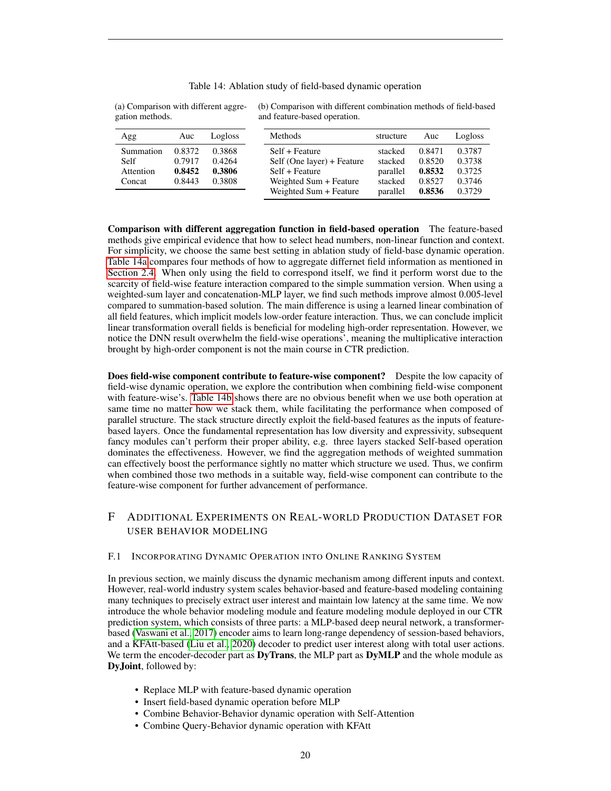| gation methods. |        |         | and feature-based operation. |           |        |         |
|-----------------|--------|---------|------------------------------|-----------|--------|---------|
| Agg             | Auc    | Logloss | Methods                      | structure | Auc    | Logloss |
| Summation       | 0.8372 | 0.3868  | Self + Feature               | stacked   | 0.8471 | 0.3787  |
| Self            | 0.7917 | 0.4264  | Self (One layer) + Feature   | stacked   | 0.8520 | 0.3738  |
| Attention       | 0.8452 | 0.3806  | Self + Feature               | parallel  | 0.8532 | 0.3725  |
| Concat          | 0.8443 | 0.3808  | Weighted Sum + Feature       | stacked   | 0.8527 | 0.3746  |
|                 |        |         | Weighted Sum + Feature       | parallel  | 0.8536 | 0.3729  |

#### Table 14: Ablation study of field-based dynamic operation

<span id="page-19-1"></span>(a) Comparison with different aggre-(b) Comparison with different combination methods of field-based and feature-based operation.

Comparison with different aggregation function in field-based operation The feature-based methods give empirical evidence that how to select head numbers, non-linear function and context. For simplicity, we choose the same best setting in ablation study of field-base dynamic operation. [Table 14a](#page-19-1) compares four methods of how to aggregate differnet field information as mentioned in [Section 2.4.](#page-3-0) When only using the field to correspond itself, we find it perform worst due to the scarcity of field-wise feature interaction compared to the simple summation version. When using a weighted-sum layer and concatenation-MLP layer, we find such methods improve almost 0.005-level compared to summation-based solution. The main difference is using a learned linear combination of all field features, which implicit models low-order feature interaction. Thus, we can conclude implicit linear transformation overall fields is beneficial for modeling high-order representation. However, we notice the DNN result overwhelm the field-wise operations', meaning the multiplicative interaction brought by high-order component is not the main course in CTR prediction.

Does field-wise component contribute to feature-wise component? Despite the low capacity of field-wise dynamic operation, we explore the contribution when combining field-wise component with feature-wise's. [Table 14b](#page-19-1) shows there are no obvious benefit when we use both operation at same time no matter how we stack them, while facilitating the performance when composed of parallel structure. The stack structure directly exploit the field-based features as the inputs of featurebased layers. Once the fundamental representation has low diversity and expressivity, subsequent fancy modules can't perform their proper ability, e.g. three layers stacked Self-based operation dominates the effectiveness. However, we find the aggregation methods of weighted summation can effectively boost the performance sightly no matter which structure we used. Thus, we confirm when combined those two methods in a suitable way, field-wise component can contribute to the feature-wise component for further advancement of performance.

# F ADDITIONAL EXPERIMENTS ON REAL-WORLD PRODUCTION DATASET FOR USER BEHAVIOR MODELING

#### <span id="page-19-0"></span>F.1 INCORPORATING DYNAMIC OPERATION INTO ONLINE RANKING SYSTEM

In previous section, we mainly discuss the dynamic mechanism among different inputs and context. However, real-world industry system scales behavior-based and feature-based modeling containing many techniques to precisely extract user interest and maintain low latency at the same time. We now introduce the whole behavior modeling module and feature modeling module deployed in our CTR prediction system, which consists of three parts: a MLP-based deep neural network, a transformerbased [\(Vaswani et al., 2017\)](#page-10-5) encoder aims to learn long-range dependency of session-based behaviors, and a KFAtt-based [\(Liu et al., 2020\)](#page-10-4) decoder to predict user interest along with total user actions. We term the encoder-decoder part as  $DyTrans$ , the MLP part as  $DyMLP$  and the whole module as DyJoint, followed by:

- Replace MLP with feature-based dynamic operation
- Insert field-based dynamic operation before MLP
- Combine Behavior-Behavior dynamic operation with Self-Attention
- Combine Query-Behavior dynamic operation with KFAtt